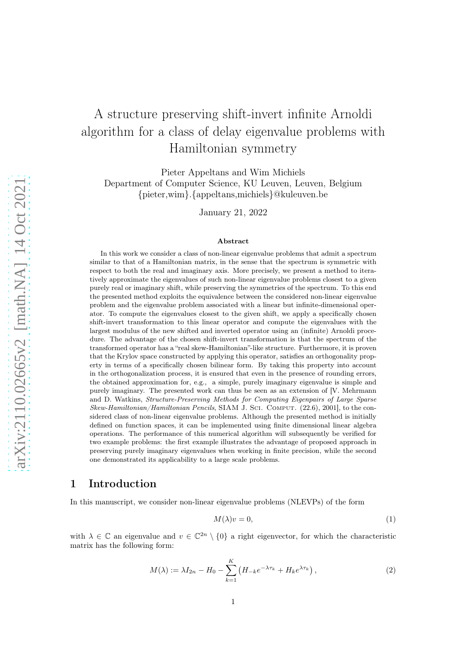# A structure preserving shift-invert infinite Arnoldi algorithm for a class of delay eigenvalue problems with Hamiltonian symmetry

Pieter Appeltans and Wim Michiels Department of Computer Science, KU Leuven, Leuven, Belgium {pieter,wim}.{appeltans,michiels}@kuleuven.be

January 21, 2022

#### Abstract

In this work we consider a class of non-linear eigenvalue problems that admit a spectrum similar to that of a Hamiltonian matrix, in the sense that the spectrum is symmetric with respect to both the real and imaginary axis. More precisely, we present a method to iteratively approximate the eigenvalues of such non-linear eigenvalue problems closest to a given purely real or imaginary shift, while preserving the symmetries of the spectrum. To this end the presented method exploits the equivalence between the considered non-linear eigenvalue problem and the eigenvalue problem associated with a linear but infinite-dimensional operator. To compute the eigenvalues closest to the given shift, we apply a specifically chosen shift-invert transformation to this linear operator and compute the eigenvalues with the largest modulus of the new shifted and inverted operator using an (infinite) Arnoldi procedure. The advantage of the chosen shift-invert transformation is that the spectrum of the transformed operator has a "real skew-Hamiltonian"-like structure. Furthermore, it is proven that the Krylov space constructed by applying this operator, satisfies an orthogonality property in terms of a specifically chosen bilinear form. By taking this property into account in the orthogonalization process, it is ensured that even in the presence of rounding errors, the obtained approximation for, e.g., a simple, purely imaginary eigenvalue is simple and purely imaginary. The presented work can thus be seen as an extension of [V. Mehrmann and D. Watkins, Structure-Preserving Methods for Computing Eigenpairs of Large Sparse Skew-Hamiltonian/Hamiltonian Pencils, SIAM J. Sci. Comput. (22.6), 2001], to the considered class of non-linear eigenvalue problems. Although the presented method is initially defined on function spaces, it can be implemented using finite dimensional linear algebra operations. The performance of this numerical algorithm will subsequently be verified for two example problems: the first example illustrates the advantage of proposed approach in preserving purely imaginary eigenvalues when working in finite precision, while the second one demonstrated its applicability to a large scale problems.

### 1 Introduction

In this manuscript, we consider non-linear eigenvalue problems (NLEVPs) of the form

<span id="page-0-0"></span>
$$
M(\lambda)v = 0,\t\t(1)
$$

with  $\lambda \in \mathbb{C}$  an eigenvalue and  $v \in \mathbb{C}^{2n} \setminus \{0\}$  a right eigenvector, for which the characteristic matrix has the following form:

<span id="page-0-1"></span>
$$
M(\lambda) := \lambda I_{2n} - H_0 - \sum_{k=1}^{K} \left( H_{-k} e^{-\lambda \tau_k} + H_k e^{\lambda \tau_k} \right), \qquad (2)
$$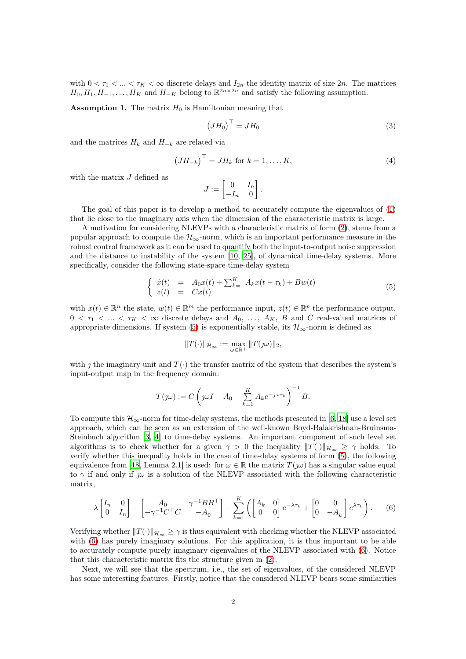<span id="page-1-2"></span>with  $0 < \tau_1 < ... < \tau_K < \infty$  discrete delays and  $I_{2n}$  the identity matrix of size  $2n$ . The matrices  $H_0, H_1, H_{-1}, \ldots, H_K$  and  $H_{-K}$  belong to  $\mathbb{R}^{2n \times 2n}$  and satisfy the following assumption.

**Assumption 1.** The matrix  $H_0$  is Hamiltonian meaning that

<span id="page-1-3"></span>
$$
\left(JH_0\right)^{\top} = JH_0\tag{3}
$$

and the matrices  $H_k$  and  $H_{-k}$  are related via

<span id="page-1-4"></span>
$$
\left(JH_{-k}\right)^{\top} = JH_k \text{ for } k = 1, \dots, K,\tag{4}
$$

with the matrix  $J$  defined as

$$
J:=\begin{bmatrix} 0 & I_n \\ -I_n & 0 \end{bmatrix}.
$$

The goal of this paper is to develop a method to accurately compute the eigenvalues of [\(1\)](#page-0-0) that lie close to the imaginary axis when the dimension of the characteristic matrix is large.

A motivation for considering NLEVPs with a characteristic matrix of form [\(2\)](#page-0-1), stems from a popular approach to compute the  $\mathcal{H}_{\infty}$ -norm, which is an important performance measure in the robust control framework as it can be used to quantify both the input-to-output noise suppression and the distance to instability of the system [\[10,](#page-24-0) [25\]](#page-24-1), of dynamical time-delay systems. More specifically, consider the following state-space time-delay system

<span id="page-1-0"></span>
$$
\begin{cases}\n\dot{x}(t) = A_0 x(t) + \sum_{k=1}^{K} A_k x(t - \tau_k) + B w(t) \\
z(t) = C x(t)\n\end{cases} \n\tag{5}
$$

with  $x(t) \in \mathbb{R}^n$  the state,  $w(t) \in \mathbb{R}^m$  the performance input,  $z(t) \in \mathbb{R}^p$  the performance output,  $0 < \tau_1 < ... < \tau_K < \infty$  discrete delays and  $A_0, ..., A_K, B$  and C real-valued matrices of appropriate dimensions. If system [\(5\)](#page-1-0) is exponentially stable, its  $\mathcal{H}_{\infty}$ -norm is defined as

$$
||T(\cdot)||_{\mathcal{H}_{\infty}} := \max_{\omega \in \mathbb{R}^+} ||T(\jmath\omega)||_2,
$$

with  $\gamma$  the imaginary unit and  $T(\cdot)$  the transfer matrix of the system that describes the system's input-output map in the frequency domain:

$$
T(j\omega) := C\left(j\omega I - A_0 - \sum_{k=1}^K A_k e^{-j\omega \tau_k}\right)^{-1} B.
$$

To compute this  $\mathcal{H}_{\infty}$ -norm for time-delay systems, the methods presented in [\[6,](#page-24-2) [18](#page-24-3)] use a level set approach, which can be seen as an extension of the well-known Boyd-Balakrishnan-Bruinsma-Steinbuch algorithm [\[3,](#page-23-0) [4](#page-23-1)] to time-delay systems. An important component of such level set algorithms is to check whether for a given  $\gamma > 0$  the inequality  $||T(\cdot)||_{\mathcal{H}_{\infty}} \geq \gamma$  holds. To verify whether this inequality holds in the case of time-delay systems of form [\(5\)](#page-1-0), the following equivalence from [\[18,](#page-24-3) Lemma 2.1] is used: for  $\omega \in \mathbb{R}$  the matrix  $T(\omega)$  has a singular value equal to  $\gamma$  if and only if  $\omega$  is a solution of the NLEVP associated with the following characteristic matrix,

<span id="page-1-1"></span>
$$
\lambda \begin{bmatrix} I_n & 0 \\ 0 & I_n \end{bmatrix} - \begin{bmatrix} A_0 & \gamma^{-1} B B^{\top} \\ -\gamma^{-1} C^{\top} C & -A_0^{\top} \end{bmatrix} - \sum_{k=1}^K \left( \begin{bmatrix} A_k & 0 \\ 0 & 0 \end{bmatrix} e^{-\lambda \tau_k} + \begin{bmatrix} 0 & 0 \\ 0 & -A_k^{\top} \end{bmatrix} e^{\lambda \tau_k} \right). \tag{6}
$$

Verifying whether  $||T(\cdot)||_{\mathcal{H}_{\infty}} \geq \gamma$  is thus equivalent with checking whether the NLEVP associated with  $(6)$  has purely imaginary solutions. For this application, it is thus important to be able to accurately compute purely imaginary eigenvalues of the NLEVP associated with [\(6\)](#page-1-1). Notice that this characteristic matrix fits the structure given in [\(2\)](#page-0-1).

Next, we will see that the spectrum, i.e., the set of eigenvalues, of the considered NLEVP has some interesting features. Firstly, notice that the considered NLEVP bears some similarities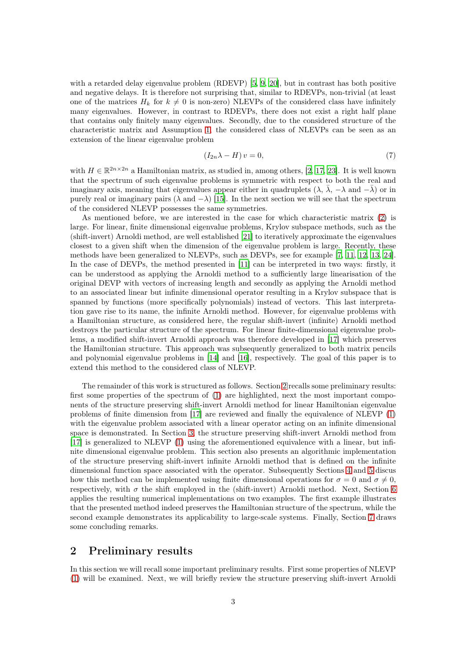with a retarded delay eigenvalue problem (RDEVP) [\[5](#page-24-4), [9](#page-24-5), [20](#page-24-6)], but in contrast has both positive and negative delays. It is therefore not surprising that, similar to RDEVPs, non-trivial (at least one of the matrices  $H_k$  for  $k \neq 0$  is non-zero) NLEVPs of the considered class have infinitely many eigenvalues. However, in contrast to RDEVPs, there does not exist a right half plane that contains only finitely many eigenvalues. Secondly, due to the considered structure of the characteristic matrix and Assumption [1,](#page-1-2) the considered class of NLEVPs can be seen as an extension of the linear eigenvalue problem

<span id="page-2-1"></span>
$$
(I_{2n}\lambda - H)v = 0,\t\t(7)
$$

with  $H \in \mathbb{R}^{2n \times 2n}$  a Hamiltonian matrix, as studied in, among others, [\[2,](#page-23-2) [17](#page-24-7), [23\]](#page-24-8). It is well known that the spectrum of such eigenvalue problems is symmetric with respect to both the real and imaginary axis, meaning that eigenvalues appear either in quadruplets  $(\lambda, \overline{\lambda}, -\lambda \text{ and } -\overline{\lambda})$  or in purely real or imaginary pairs ( $\lambda$  and  $-\lambda$ ) [\[15\]](#page-24-9). In the next section we will see that the spectrum of the considered NLEVP possesses the same symmetries.

As mentioned before, we are interested in the case for which characteristic matrix [\(2\)](#page-0-1) is large. For linear, finite dimensional eigenvalue problems, Krylov subspace methods, such as the (shift-invert) Arnoldi method, are well established [\[21\]](#page-24-10) to iteratively approximate the eigenvalues closest to a given shift when the dimension of the eigenvalue problem is large. Recently, these methods have been generalized to NLEVPs, such as DEVPs, see for example [\[7,](#page-24-11) [11](#page-24-12), [12](#page-24-13), [13](#page-24-14), [24](#page-24-15)]. In the case of DEVPs, the method presented in [\[11\]](#page-24-12) can be interpreted in two ways: firstly, it can be understood as applying the Arnoldi method to a sufficiently large linearisation of the original DEVP with vectors of increasing length and secondly as applying the Arnoldi method to an associated linear but infinite dimensional operator resulting in a Krylov subspace that is spanned by functions (more specifically polynomials) instead of vectors. This last interpretation gave rise to its name, the infinite Arnoldi method. However, for eigenvalue problems with a Hamiltonian structure, as considered here, the regular shift-invert (infinite) Arnoldi method destroys the particular structure of the spectrum. For linear finite-dimensional eigenvalue problems, a modified shift-invert Arnoldi approach was therefore developed in [\[17\]](#page-24-7) which preserves the Hamiltonian structure. This approach was subsequently generalized to both matrix pencils and polynomial eigenvalue problems in [\[14](#page-24-16)] and [\[16](#page-24-17)], respectively. The goal of this paper is to extend this method to the considered class of NLEVP.

The remainder of this work is structured as follows. Section [2](#page-2-0) recalls some preliminary results: first some properties of the spectrum of [\(1\)](#page-0-0) are highlighted, next the most important components of the structure preserving shift-invert Arnoldi method for linear Hamiltonian eigenvalue problems of finite dimension from [\[17](#page-24-7)] are reviewed and finally the equivalence of NLEVP [\(1\)](#page-0-0) with the eigenvalue problem associated with a linear operator acting on an infinite dimensional space is demonstrated. In Section [3,](#page-8-0) the structure preserving shift-invert Arnoldi method from [\[17](#page-24-7)] is generalized to NLEVP [\(1\)](#page-0-0) using the aforementioned equivalence with a linear, but infinite dimensional eigenvalue problem. This section also presents an algorithmic implementation of the structure preserving shift-invert infinite Arnoldi method that is defined on the infinite dimensional function space associated with the operator. Subsequently Sections [4](#page-13-0) and [5](#page-15-0) discus how this method can be implemented using finite dimensional operations for  $\sigma = 0$  and  $\sigma \neq 0$ , respectively, with  $\sigma$  the shift employed in the (shift-invert) Arnoldi method. Next, Section [6](#page-19-0) applies the resulting numerical implementations on two examples. The first example illustrates that the presented method indeed preserves the Hamiltonian structure of the spectrum, while the second example demonstrates its applicability to large-scale systems. Finally, Section [7](#page-21-0) draws some concluding remarks.

#### <span id="page-2-0"></span>2 Preliminary results

In this section we will recall some important preliminary results. First some properties of NLEVP [\(1\)](#page-0-0) will be examined. Next, we will briefly review the structure preserving shift-invert Arnoldi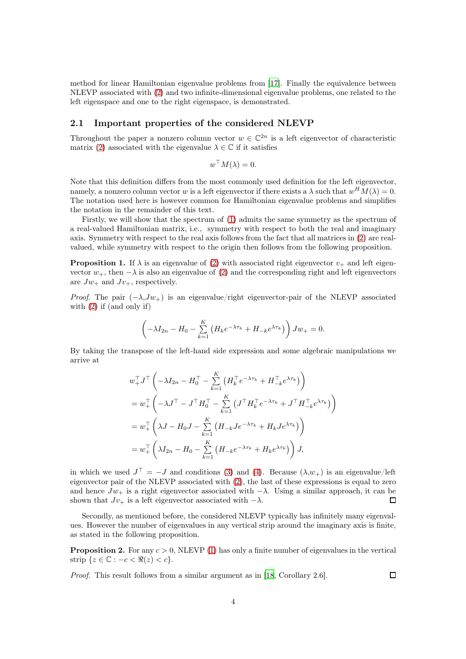method for linear Hamiltonian eigenvalue problems from [\[17\]](#page-24-7). Finally the equivalence between NLEVP associated with [\(2\)](#page-0-1) and two infinite-dimensional eigenvalue problems, one related to the left eigenspace and one to the right eigenspace, is demonstrated.

#### 2.1 Important properties of the considered NLEVP

Throughout the paper a nonzero column vector  $w \in \mathbb{C}^{2n}$  is a left eigenvector of characteristic matrix [\(2\)](#page-0-1) associated with the eigenvalue  $\lambda \in \mathbb{C}$  if it satisfies

$$
w^{\top}M(\lambda) = 0.
$$

Note that this definition differs from the most commonly used definition for the left eigenvector, namely, a nonzero column vector w is a left eigenvector if there exists a  $\lambda$  such that  $w^H M(\lambda) = 0$ . The notation used here is however common for Hamiltonian eigenvalue problems and simplifies the notation in the remainder of this text.

Firstly, we will show that the spectrum of [\(1\)](#page-0-0) admits the same symmetry as the spectrum of a real-valued Hamiltonian matrix, i.e., symmetry with respect to both the real and imaginary axis. Symmetry with respect to the real axis follows from the fact that all matrices in [\(2\)](#page-0-1) are realvalued, while symmetry with respect to the origin then follows from the following proposition.

<span id="page-3-0"></span>**Proposition 1.** If  $\lambda$  is an eigenvalue of [\(2\)](#page-0-1) with associated right eigenvector  $v_{+}$  and left eigenvector  $w_+$ , then  $-\lambda$  is also an eigenvalue of [\(2\)](#page-0-1) and the corresponding right and left eigenvectors are  $Jw_+$  and  $Jv_+$ , respectively.

*Proof.* The pair  $(-\lambda, Jw_+)$  is an eigenvalue/right eigenvector-pair of the NLEVP associated with [\(2\)](#page-0-1) if (and only if)

$$
\left(-\lambda I_{2n} - H_0 - \sum_{k=1}^K \left(H_k e^{-\lambda \tau_k} + H_{-k} e^{\lambda \tau_k}\right)\right) J w_+ = 0.
$$

By taking the transpose of the left-hand side expression and some algebraic manipulations we arrive at

$$
w_{+}^{\top}J^{\top} \left( -\lambda I_{2n} - H_0^{\top} - \sum_{k=1}^{K} \left( H_k^{\top} e^{-\lambda \tau_k} + H_{-k}^{\top} e^{\lambda \tau_k} \right) \right)
$$
  
\n
$$
= w_{+}^{\top} \left( -\lambda J^{\top} - J^{\top} H_0^{\top} - \sum_{k=1}^{K} \left( J^{\top} H_k^{\top} e^{-\lambda \tau_k} + J^{\top} H_{-k}^{\top} e^{\lambda \tau_k} \right) \right)
$$
  
\n
$$
= w_{+}^{\top} \left( \lambda J - H_0 J - \sum_{k=1}^{K} \left( H_{-k} J e^{-\lambda \tau_k} + H_k J e^{\lambda \tau_k} \right) \right)
$$
  
\n
$$
= w_{+}^{\top} \left( \lambda I_{2n} - H_0 - \sum_{k=1}^{K} \left( H_{-k} e^{-\lambda \tau_k} + H_k e^{\lambda \tau_k} \right) \right) J,
$$

in which we used  $J^{\top} = -J$  and conditions [\(3\)](#page-1-3) and [\(4\)](#page-1-4). Because  $(\lambda, w_+)$  is an eigenvalue/left eigenvector pair of the NLEVP associated with [\(2\)](#page-0-1), the last of these expressions is equal to zero and hence  $Jw_+$  is a right eigenvector associated with  $-\lambda$ . Using a similar approach, it can be shown that  $Jv_+$  is a left eigenvector associated with  $-\lambda$ . □

Secondly, as mentioned before, the considered NLEVP typically has infinitely many eigenvalues. However the number of eigenvalues in any vertical strip around the imaginary axis is finite, as stated in the following proposition.

**Proposition 2.** For any  $c > 0$ , NLEVP [\(1\)](#page-0-0) has only a finite number of eigenvalues in the vertical strip  $\{z \in \mathbb{C} : -c < \Re(z) < c\}.$ 

Proof. This result follows from a similar argument as in [\[18,](#page-24-3) Corollary 2.6].

 $\Box$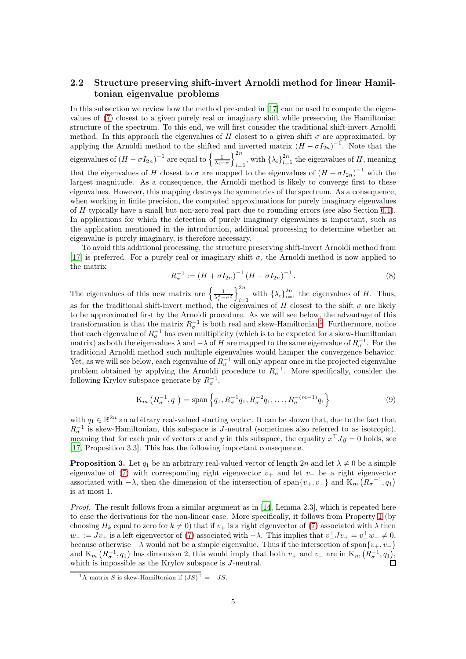#### <span id="page-4-2"></span>2.2 Structure preserving shift-invert Arnoldi method for linear Hamiltonian eigenvalue problems

In this subsection we review how the method presented in [\[17\]](#page-24-7) can be used to compute the eigenvalues of [\(7\)](#page-2-1) closest to a given purely real or imaginary shift while preserving the Hamiltonian structure of the spectrum. To this end, we will first consider the traditional shift-invert Arnoldi method. In this approach the eigenvalues of H closest to a given shift  $\sigma$  are approximated, by applying the Arnoldi method to the shifted and inverted matrix  $(H - \sigma I_{2n})^{-1}$ . Note that the eigenvalues of  $(H - \sigma I_{2n})^{-1}$  are equal to  $\left\{ \frac{1}{\lambda_i - \sigma} \right\}$  $\lambda^{2n}$  $\sum_{i=1}^{2n}$ , with  $\{\lambda_i\}_{i=1}^{2n}$  the eigenvalues of H, meaning that the eigenvalues of H closest to  $\sigma$  are mapped to the eigenvalues of  $(H - \sigma I_{2n})^{-1}$  with the largest magnitude. As a consequence, the Arnoldi method is likely to converge first to these eigenvalues. However, this mapping destroys the symmetries of the spectrum. As a consequence, when working in finite precision, the computed approximations for purely imaginary eigenvalues of H typically have a small but non-zero real part due to rounding errors (see also Section [6.1\)](#page-19-1). In applications for which the detection of purely imaginary eigenvalues is important, such as the application mentioned in the introduction, additional processing to determine whether an eigenvalue is purely imaginary, is therefore necessary.

To avoid this additional processing, the structure preserving shift-invert Arnoldi method from [\[17](#page-24-7)] is preferred. For a purely real or imaginary shift  $\sigma$ , the Arnoldi method is now applied to the matrix

<span id="page-4-3"></span>
$$
R_{\sigma}^{-1} := (H + \sigma I_{2n})^{-1} (H - \sigma I_{2n})^{-1}.
$$
\n(8)

The eigenvalues of this new matrix are  $\left\{\frac{1}{\lambda_i^2 - \sigma^2}\right\}$  $\mathcal{C}^{2n}$ with  $\{\lambda_i\}_{i=1}^{2n}$  the eigenvalues of H. Thus, as for the traditional shift-invert method, the eigenvalues of H closest to the shift  $\sigma$  are likely to be approximated first by the Arnoldi procedure. As we will see below, the advantage of this transformation is that the matrix  $R_{\sigma}^{-1}$  $R_{\sigma}^{-1}$  $R_{\sigma}^{-1}$  is both real and skew-Hamiltonian<sup>1</sup>. Furthermore, notice that each eigenvalue of  $R_{\sigma}^{-1}$  has even multiplicity (which is to be expected for a skew-Hamiltonian matrix) as both the eigenvalues  $\lambda$  and  $-\lambda$  of H are mapped to the same eigenvalue of  $R_{\sigma}^{-1}$ . For the traditional Arnoldi method such multiple eigenvalues would hamper the convergence behavior. Yet, as we will see below, each eigenvalue of  $R_{\sigma}^{-1}$  will only appear once in the projected eigenvalue problem obtained by applying the Arnoldi procedure to  $R_{\sigma}^{-1}$ . More specifically, consider the following Krylov subspace generate by  $R_{\sigma}^{-1}$ ,

$$
K_m\left(R_{\sigma}^{-1}, q_1\right) = \text{span}\left\{q_1, R_{\sigma}^{-1}q_1, R_{\sigma}^{-2}q_1, \dots, R_{\sigma}^{-(m-1)}q_1\right\} \tag{9}
$$

with  $q_1 \in \mathbb{R}^{2n}$  an arbitrary real-valued starting vector. It can be shown that, due to the fact that  $R_{\sigma}^{-1}$  is skew-Hamiltonian, this subspace is J-neutral (sometimes also referred to as isotropic), meaning that for each pair of vectors x and y in this subspace, the equality  $x<sup>T</sup> Jy = 0$  holds, see [\[17](#page-24-7), Proposition 3.3]. This has the following important consequence.

<span id="page-4-1"></span>**Proposition 3.** Let  $q_1$  be an arbitrary real-valued vector of length 2n and let  $\lambda \neq 0$  be a simple eigenvalue of [\(7\)](#page-2-1) with corresponding right eigenvector  $v_+$  and let  $v_-$  be a right eigenvector associated with  $-\lambda$ , then the dimension of the intersection of span $\{v_+, v_-\}$  and  $\mathbf{K}_m\left(\mathbf{R}_{\sigma}^{-1}, q_1\right)$ is at most 1.

Proof. The result follows from a similar argument as in [\[14,](#page-24-16) Lemma 2.3], which is repeated here to ease the derivations for the non-linear case. More specifically, it follows from Property [1](#page-3-0) (by choosing  $H_k$  equal to zero for  $k \neq 0$ ) that if  $v_+$  is a right eigenvector of [\(7\)](#page-2-1) associated with  $\lambda$  then  $w_- := Jv_+$  is a left eigenvector of [\(7\)](#page-2-1) associated with  $-\lambda$ . This implies that  $v_-^\top Jv_+ = v_-^\top w_- \neq 0$ , because otherwise  $-\lambda$  would not be a simple eigenvalue. Thus if the intersection of span $\{v_+, v_-\}$ and  $\mathcal{K}_m\left(R_{\sigma}^{-1}, q_1\right)$  has dimension 2, this would imply that both  $v_+$  and  $v_-$  are in  $\mathcal{K}_m\left(R_{\sigma}^{-1}, q_1\right)$ , which is impossible as the Krylov subspace is  $J$ -neutral.

<span id="page-4-0"></span><sup>&</sup>lt;sup>1</sup>A matrix S is skew-Hamiltonian if  $(JS)^\top = -JS$ .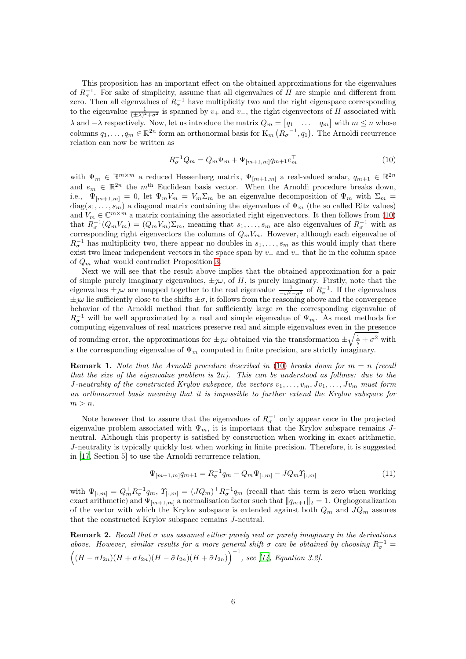This proposition has an important effect on the obtained approximations for the eigenvalues of  $R_{\sigma}^{-1}$ . For sake of simplicity, assume that all eigenvalues of H are simple and different from zero. Then all eigenvalues of  $R_{\sigma}^{-1}$  have multiplicity two and the right eigenspace corresponding to the eigenvalue  $\frac{1}{(\pm\lambda)^2+\sigma^2}$  is spanned by  $v_+$  and  $v_-$ , the right eigenvectors of H associated with  $\lambda$  and  $-\lambda$  respectively. Now, let us introduce the matrix  $Q_m = \begin{bmatrix} q_1 & \dots & q_m \end{bmatrix}$  with  $m \leq n$  whose columns  $q_1, \ldots, q_m \in \mathbb{R}^{2n}$  form an orthonormal basis for  $\mathrm{K}_m\left(\mathbb{R}^{n-1}_{\sigma}, q_1\right)$ . The Arnoldi recurrence relation can now be written as

<span id="page-5-0"></span>
$$
R_{\sigma}^{-1}Q_m = Q_m \Psi_m + \Psi_{[m+1,m]} q_{m+1} e_m^{\top}
$$
\n(10)

with  $\Psi_m \in \mathbb{R}^{m \times m}$  a reduced Hessenberg matrix,  $\Psi_{[m+1,m]}$  a real-valued scalar,  $q_{m+1} \in \mathbb{R}^{2n}$ and  $e_m \in \mathbb{R}^{2n}$  the m<sup>th</sup> Euclidean basis vector. When the Arnoldi procedure breaks down, i.e.,  $\Psi_{[m+1,m]} = 0$ , let  $\Psi_m V_m = V_m \Sigma_m$  be an eigenvalue decomposition of  $\Psi_m$  with  $\Sigma_m =$  $diag(s_1, \ldots, s_m)$  a diagonal matrix containing the eigenvalues of  $\Psi_m$  (the so called Ritz values) and  $V_m \in \mathbb{C}^{m \times m}$  a matrix containing the associated right eigenvectors. It then follows from [\(10\)](#page-5-0) that  $R_{\sigma}^{-1}(Q_mV_m) = (Q_mV_m)\Sigma_m$ , meaning that  $s_1,\ldots,s_m$  are also eigenvalues of  $R_{\sigma}^{-1}$  with as corresponding right eigenvectors the columns of  $Q_mV_m$ . However, although each eigenvalue of  $R_{\sigma}^{-1}$  has multiplicity two, there appear no doubles in  $s_1, \ldots, s_m$  as this would imply that there exist two linear independent vectors in the space span by  $v_+$  and  $v_-$  that lie in the column space of  $Q_m$  what would contradict Proposition [3.](#page-4-1)

Next we will see that the result above implies that the obtained approximation for a pair of simple purely imaginary eigenvalues,  $\pm \jmath \omega$ , of H, is purely imaginary. Firstly, note that the eigenvalues  $\pm j\omega$  are mapped together to the real eigenvalue  $\frac{1}{-\omega^2-\sigma^2}$  of  $R_{\sigma}^{-1}$ . If the eigenvalues  $\pm\jmath\omega$  lie sufficiently close to the shifts  $\pm\sigma$ , it follows from the reasoning above and the convergence behavior of the Arnoldi method that for sufficiently large m the corresponding eigenvalue of  $R_{\sigma}^{-1}$  will be well approximated by a real and simple eigenvalue of  $\Psi_m$ . As most methods for computing eigenvalues of real matrices preserve real and simple eigenvalues even in the presence of rounding error, the approximations for  $\pm \jmath \omega$  obtained via the transformation  $\pm \sqrt{\frac{1}{s} + \sigma^2}$  with s the corresponding eigenvalue of  $\Psi_m$  computed in finite precision, are strictly imaginary.

**Remark 1.** Note that the Arnoldi procedure described in [\(10\)](#page-5-0) breaks down for  $m = n$  (recall that the size of the eigenvalue problem is  $2n$ ). This can be understood as follows: due to the J-neutrality of the constructed Krylov subspace, the vectors  $v_1, \ldots, v_m, Jv_1, \ldots, Jv_m$  must form an orthonormal basis meaning that it is impossible to further extend the Krylov subspace for  $m > n$ .

Note however that to assure that the eigenvalues of  $R_{\sigma}^{-1}$  only appear once in the projected eigenvalue problem associated with  $\Psi_m$ , it is important that the Krylov subspace remains Jneutral. Although this property is satisfied by construction when working in exact arithmetic, J-neutrality is typically quickly lost when working in finite precision. Therefore, it is suggested in [\[17](#page-24-7), Section 5] to use the Arnoldi recurrence relation,

$$
\Psi_{[m+1,m]}q_{m+1} = R_{\sigma}^{-1}q_m - Q_m\Psi_{[:,m]} - JQ_m\Upsilon_{[:,m]}
$$
\n(11)

with  $\Psi_{[:,m]} = Q_m^{\top} R_{\sigma}^{-1} q_m$ ,  $\Upsilon_{[:,m]} = (J Q_m)^{\top} R_{\sigma}^{-1} q_m$  (recall that this term is zero when working exact arithmetic) and  $\Psi_{[m+1,m]}$  a normalisation factor such that  $||q_{m+1}||_2 = 1$ . Orghogonalization of the vector with which the Krylov subspace is extended against both  $Q_m$  and  $JQ_m$  assures that the constructed Krylov subspace remains J-neutral.

Remark 2. Recall that  $\sigma$  was assumed either purely real or purely imaginary in the derivations above. However, similar results for a more general shift  $\sigma$  can be obtained by choosing  $R_{\sigma}^{-1} =$  $((H - \sigma I_{2n})(H + \sigma I_{2n})(H - \bar{\sigma} I_{2n})(H + \bar{\sigma} I_{2n}))^{-1}$ , see [\[14,](#page-24-16) Equation 3.2].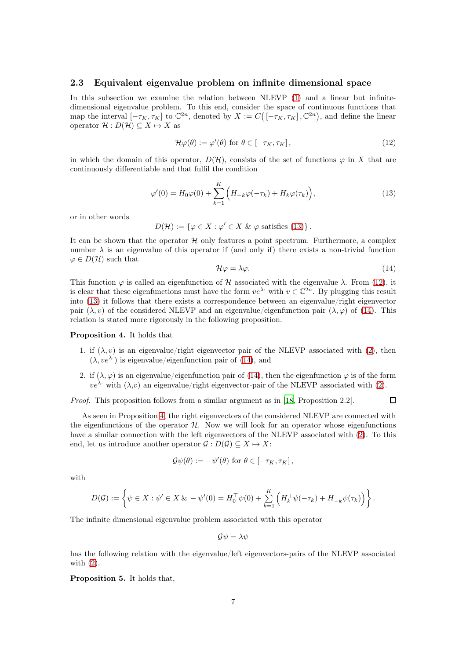#### 2.3 Equivalent eigenvalue problem on infinite dimensional space

In this subsection we examine the relation between NLEVP [\(1\)](#page-0-0) and a linear but infinitedimensional eigenvalue problem. To this end, consider the space of continuous functions that map the interval  $[-\tau_K, \tau_K]$  to  $\mathbb{C}^{2n}$ , denoted by  $X := C([-\tau_K, \tau_K], \mathbb{C}^{2n})$ , and define the linear operator  $\mathcal{H}: D(\mathcal{H}) \subseteq X \mapsto X$  as

<span id="page-6-1"></span>
$$
\mathcal{H}\varphi(\theta) := \varphi'(\theta) \text{ for } \theta \in [-\tau_K, \tau_K],\tag{12}
$$

in which the domain of this operator,  $D(\mathcal{H})$ , consists of the set of functions  $\varphi$  in X that are continuously differentiable and that fulfil the condition

<span id="page-6-0"></span>
$$
\varphi'(0) = H_0 \varphi(0) + \sum_{k=1}^K \left( H_{-k} \varphi(-\tau_k) + H_k \varphi(\tau_k) \right), \tag{13}
$$

or in other words

$$
D(\mathcal{H}) := \{ \varphi \in X : \varphi' \in X \& \varphi \text{ satisfies (13)} \}.
$$

It can be shown that the operator  $H$  only features a point spectrum. Furthermore, a complex number  $\lambda$  is an eigenvalue of this operator if (and only if) there exists a non-trivial function  $\varphi \in D(\mathcal{H})$  such that

<span id="page-6-2"></span>
$$
\mathcal{H}\varphi = \lambda\varphi. \tag{14}
$$

This function  $\varphi$  is called an eigenfunction of H associated with the eigenvalue  $\lambda$ . From [\(12\)](#page-6-1), it is clear that these eigenfunctions must have the form  $ve^{\lambda}$  with  $v \in \mathbb{C}^{2n}$ . By plugging this result into [\(13\)](#page-6-0) it follows that there exists a correspondence between an eigenvalue/right eigenvector pair  $(\lambda, v)$  of the considered NLEVP and an eigenvalue/eigenfunction pair  $(\lambda, \varphi)$  of [\(14\)](#page-6-2). This relation is stated more rigorously in the following proposition.

#### <span id="page-6-3"></span>Proposition 4. It holds that

- 1. if  $(\lambda, v)$  is an eigenvalue/right eigenvector pair of the NLEVP associated with [\(2\)](#page-0-1), then  $(\lambda, v e^{\lambda})$  is eigenvalue/eigenfunction pair of [\(14\)](#page-6-2), and
- 2. if  $(\lambda, \varphi)$  is an eigenvalue/eigenfunction pair of [\(14\)](#page-6-2), then the eigenfunction  $\varphi$  is of the form  $ve^{\lambda}$ · with  $(\lambda, v)$  an eigenvalue/right eigenvector-pair of the NLEVP associated with [\(2\)](#page-0-1).

Proof. This proposition follows from a similar argument as in [\[18,](#page-24-3) Proposition 2.2].  $\Box$ 

As seen in Proposition [4,](#page-6-3) the right eigenvectors of the considered NLEVP are connected with the eigenfunctions of the operator  $H$ . Now we will look for an operator whose eigenfunctions have a similar connection with the left eigenvectors of the NLEVP associated with [\(2\)](#page-0-1). To this end, let us introduce another operator  $\mathcal{G}: D(\mathcal{G}) \subseteq X \mapsto X$ :

$$
\mathcal{G}\psi(\theta) := -\psi'(\theta) \text{ for } \theta \in [-\tau_K, \tau_K],
$$

with

$$
D(\mathcal{G}) := \left\{ \psi \in X : \psi' \in X \& -\psi'(0) = H_0^\top \psi(0) + \sum_{k=1}^K \left( H_k^\top \psi(-\tau_k) + H_{-k}^\top \psi(\tau_k) \right) \right\}.
$$

The infinite dimensional eigenvalue problem associated with this operator

$$
\mathcal{G}\psi=\lambda\psi
$$

has the following relation with the eigenvalue/left eigenvectors-pairs of the NLEVP associated with [\(2\)](#page-0-1).

Proposition 5. It holds that,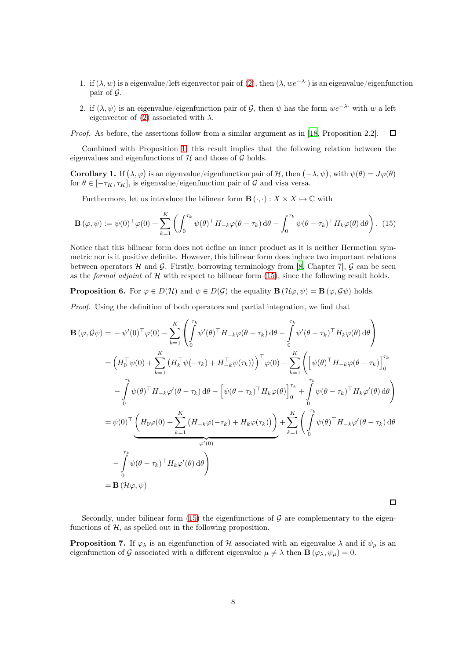- 1. if  $(\lambda, w)$  is a eigenvalue/left eigenvector pair of [\(2\)](#page-0-1), then  $(\lambda, we^{-\lambda})$  is an eigenvalue/eigenfunction pair of G.
- 2. if  $(\lambda, \psi)$  is an eigenvalue/eigenfunction pair of G, then  $\psi$  has the form  $we^{-\lambda}$ · with w a left eigenvector of [\(2\)](#page-0-1) associated with  $\lambda$ .

Proof. As before, the assertions follow from a similar argument as in [\[18,](#page-24-3) Proposition 2.2]. П

Combined with Proposition [1,](#page-3-0) this result implies that the following relation between the eigenvalues and eigenfunctions of  $H$  and those of  $G$  holds.

**Corollary 1.** If  $(\lambda, \varphi)$  is an eigenvalue/eigenfunction pair of H, then  $(-\lambda, \psi)$ , with  $\psi(\theta) = J\varphi(\theta)$ for  $\theta \in [-\tau_K, \tau_K]$ , is eigenvalue/eigenfunction pair of G and visa versa.

Furthermore, let us introduce the bilinear form  $\mathbf{B}(\cdot,\cdot): X \times X \mapsto \mathbb{C}$  with

<span id="page-7-0"></span>
$$
\mathbf{B}(\varphi,\psi) := \psi(0)^{\top} \varphi(0) + \sum_{k=1}^{K} \left( \int_{0}^{\tau_{k}} \psi(\theta)^{\top} H_{-k} \varphi(\theta - \tau_{k}) d\theta - \int_{0}^{\tau_{k}} \psi(\theta - \tau_{k})^{\top} H_{k} \varphi(\theta) d\theta \right). (15)
$$

Notice that this bilinear form does not define an inner product as it is neither Hermetian symmetric nor is it positive definite. However, this bilinear form does induce two important relations between operators H and G. Firstly, borrowing terminology from [\[8](#page-24-18), Chapter 7],  $\mathcal G$  can be seen as the *formal adjoint* of  $H$  with respect to bilinear form [\(15\)](#page-7-0), since the following result holds.

**Proposition 6.** For  $\varphi \in D(\mathcal{H})$  and  $\psi \in D(\mathcal{G})$  the equality  $\mathbf{B}(\mathcal{H}\varphi, \psi) = \mathbf{B}(\varphi, \mathcal{G}\psi)$  holds.

Proof. Using the definition of both operators and partial integration, we find that

$$
\mathbf{B}(\varphi, \mathcal{G}\psi) = -\psi'(0)^{\top}\varphi(0) - \sum_{k=1}^{K} \left( \int_{0}^{\tau_{k}} \psi'(\theta)^{\top} H_{-k}\varphi(\theta - \tau_{k}) d\theta - \int_{0}^{\tau_{k}} \psi'(\theta - \tau_{k})^{\top} H_{k}\varphi(\theta) d\theta \right)
$$
  
\n
$$
= \left( H_{0}^{\top}\psi(0) + \sum_{k=1}^{K} \left( H_{k}^{\top}\psi(-\tau_{k}) + H_{-k}^{\top}\psi(\tau_{k}) \right) \right)^{\top}\varphi(0) - \sum_{k=1}^{K} \left( \left[ \psi(\theta)^{\top} H_{-k}\varphi(\theta - \tau_{k}) \right]_{0}^{\tau_{k}}
$$
  
\n
$$
- \int_{0}^{\tau_{k}} \psi(\theta)^{\top} H_{-k}\varphi'(\theta - \tau_{k}) d\theta - \left[ \psi(\theta - \tau_{k})^{\top} H_{k}\varphi(\theta) \right]_{0}^{\tau_{k}} + \int_{0}^{\tau_{k}} \psi(\theta - \tau_{k})^{\top} H_{k}\varphi'(\theta) d\theta \right)
$$
  
\n
$$
= \psi(0)^{\top} \underbrace{\left( H_{0}\varphi(0) + \sum_{k=1}^{K} \left( H_{-k}\varphi(-\tau_{k}) + H_{k}\varphi(\tau_{k}) \right) \right)}_{\varphi'(0)} + \sum_{k=1}^{K} \left( \int_{0}^{\tau_{k}} \psi(\theta)^{\top} H_{-k}\varphi'(\theta - \tau_{k}) d\theta \right)
$$
  
\n
$$
- \int_{0}^{\tau_{k}} \psi(\theta - \tau_{k})^{\top} H_{k}\varphi'(\theta) d\theta \right)
$$
  
\n
$$
= \mathbf{B} (\mathcal{H}\varphi, \psi)
$$

 $\Box$ 

Secondly, under bilinear form [\(15\)](#page-7-0) the eigenfunctions of  $\mathcal G$  are complementary to the eigenfunctions of  $H$ , as spelled out in the following proposition.

**Proposition 7.** If  $\varphi_{\lambda}$  is an eigenfunction of H associated with an eigenvalue  $\lambda$  and if  $\psi_{\mu}$  is an eigenfunction of G associated with a different eigenvalue  $\mu \neq \lambda$  then  $\mathbf{B}(\varphi_{\lambda}, \psi_{\mu}) = 0$ .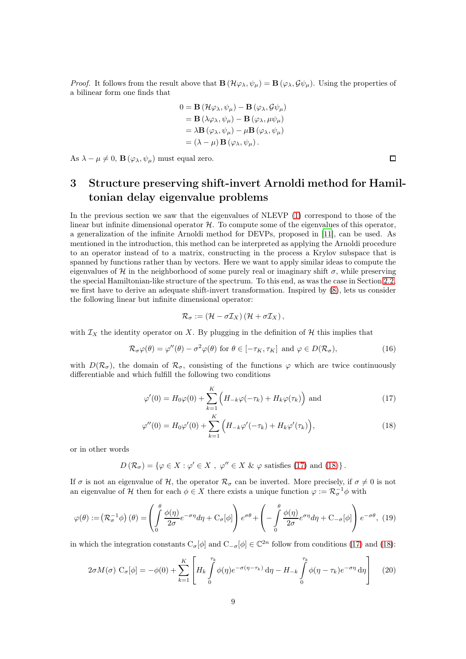*Proof.* It follows from the result above that  $\mathbf{B}(\mathcal{H}\varphi_{\lambda}, \psi_{\mu}) = \mathbf{B}(\varphi_{\lambda}, \mathcal{G}\psi_{\mu})$ . Using the properties of a bilinear form one finds that

$$
0 = \mathbf{B} (\mathcal{H}\varphi_{\lambda}, \psi_{\mu}) - \mathbf{B} (\varphi_{\lambda}, \mathcal{G}\psi_{\mu})
$$
  
=  $\mathbf{B} (\lambda \varphi_{\lambda}, \psi_{\mu}) - \mathbf{B} (\varphi_{\lambda}, \mu \psi_{\mu})$   
=  $\lambda \mathbf{B} (\varphi_{\lambda}, \psi_{\mu}) - \mu \mathbf{B} (\varphi_{\lambda}, \psi_{\mu})$   
=  $(\lambda - \mu) \mathbf{B} (\varphi_{\lambda}, \psi_{\mu}).$ 

As  $\lambda - \mu \neq 0$ ,  $\mathbf{B}(\varphi_{\lambda}, \psi_{\mu})$  must equal zero.

# <span id="page-8-0"></span>3 Structure preserving shift-invert Arnoldi method for Hamiltonian delay eigenvalue problems

In the previous section we saw that the eigenvalues of NLEVP [\(1\)](#page-0-0) correspond to those of the linear but infinite dimensional operator  $H$ . To compute some of the eigenvalues of this operator, a generalization of the infinite Arnoldi method for DEVPs, proposed in [\[11](#page-24-12)], can be used. As mentioned in the introduction, this method can be interpreted as applying the Arnoldi procedure to an operator instead of to a matrix, constructing in the process a Krylov subspace that is spanned by functions rather than by vectors. Here we want to apply similar ideas to compute the eigenvalues of H in the neighborhood of some purely real or imaginary shift  $\sigma$ , while preserving the special Hamiltonian-like structure of the spectrum. To this end, as was the case in Section [2.2,](#page-4-2) we first have to derive an adequate shift-invert transformation. Inspired by [\(8\)](#page-4-3), lets us consider the following linear but infinite dimensional operator:

<span id="page-8-2"></span><span id="page-8-1"></span>
$$
\mathcal{R}_{\sigma} := (\mathcal{H} - \sigma \mathcal{I}_X) (\mathcal{H} + \sigma \mathcal{I}_X),
$$

with  $\mathcal{I}_X$  the identity operator on X. By plugging in the definition of H this implies that

<span id="page-8-5"></span>
$$
\mathcal{R}_{\sigma}\varphi(\theta) = \varphi''(\theta) - \sigma^2\varphi(\theta) \text{ for } \theta \in [-\tau_K, \tau_K] \text{ and } \varphi \in D(\mathcal{R}_{\sigma}),
$$
\n(16)

with  $D(\mathcal{R}_{\sigma})$ , the domain of  $\mathcal{R}_{\sigma}$ , consisting of the functions  $\varphi$  which are twice continuously differentiable and which fulfill the following two conditions

$$
\varphi'(0) = H_0 \varphi(0) + \sum_{k=1}^{K} \left( H_{-k} \varphi(-\tau_k) + H_k \varphi(\tau_k) \right) \text{ and } \qquad (17)
$$

$$
\varphi''(0) = H_0 \varphi'(0) + \sum_{k=1}^{K} \Big( H_{-k} \varphi'(-\tau_k) + H_k \varphi'(\tau_k) \Big), \tag{18}
$$

or in other words

<span id="page-8-4"></span> $D\left(\mathcal{R}_{\sigma}\right) = \{\varphi \in X : \varphi' \in X, \varphi'' \in X \& \varphi \text{ satisfies (17) and (18)}\}\.$  $D\left(\mathcal{R}_{\sigma}\right) = \{\varphi \in X : \varphi' \in X, \varphi'' \in X \& \varphi \text{ satisfies (17) and (18)}\}\.$  $D\left(\mathcal{R}_{\sigma}\right) = \{\varphi \in X : \varphi' \in X, \varphi'' \in X \& \varphi \text{ satisfies (17) and (18)}\}\.$  $D\left(\mathcal{R}_{\sigma}\right) = \{\varphi \in X : \varphi' \in X, \varphi'' \in X \& \varphi \text{ satisfies (17) and (18)}\}\.$  $D\left(\mathcal{R}_{\sigma}\right) = \{\varphi \in X : \varphi' \in X, \varphi'' \in X \& \varphi \text{ satisfies (17) and (18)}\}\.$ 

If  $\sigma$  is not an eigenvalue of H, the operator  $\mathcal{R}_{\sigma}$  can be inverted. More precisely, if  $\sigma \neq 0$  is not an eigenvalue of H then for each  $\phi \in X$  there exists a unique function  $\varphi := \mathcal{R}_{\sigma}^{-1} \phi$  with

<span id="page-8-3"></span>
$$
\varphi(\theta) := (\mathcal{R}_{\sigma}^{-1}\phi) \ (\theta) = \left( \int_{0}^{\theta} \frac{\phi(\eta)}{2\sigma} e^{-\sigma \eta} d\eta + C_{\sigma}[\phi] \right) e^{\sigma \theta} + \left( -\int_{0}^{\theta} \frac{\phi(\eta)}{2\sigma} e^{\sigma \eta} d\eta + C_{-\sigma}[\phi] \right) e^{-\sigma \theta}, \tag{19}
$$

in which the integration constants  $C_{\sigma}[\phi]$  and  $C_{-\sigma}[\phi] \in \mathbb{C}^{2n}$  follow from conditions [\(17\)](#page-8-1) and [\(18\)](#page-8-2):

$$
2\sigma M(\sigma) C_{\sigma}[\phi] = -\phi(0) + \sum_{k=1}^{K} \left[ H_k \int_{0}^{\tau_k} \phi(\eta) e^{-\sigma(\eta - \tau_k)} d\eta - H_{-k} \int_{0}^{\tau_k} \phi(\eta - \tau_k) e^{-\sigma\eta} d\eta \right]
$$
(20)

 $\Box$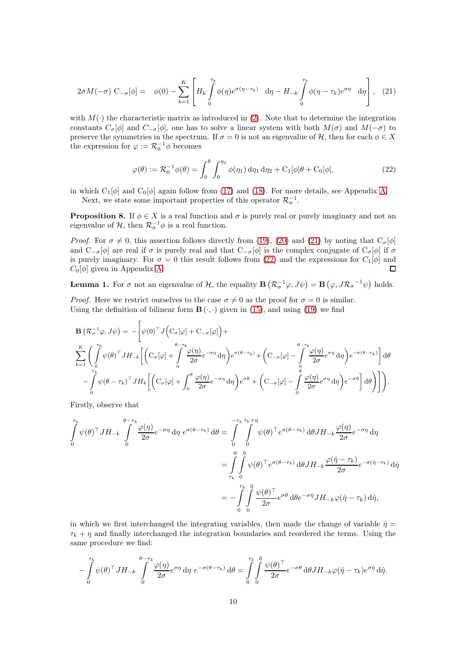$$
2\sigma M(-\sigma) \ C_{-\sigma}[\phi] = \phi(0) - \sum_{k=1}^{K} \left[ H_k \int_{0}^{\tau_k} \phi(\eta) e^{\sigma(\eta - \tau_k)} d\eta - H_{-k} \int_{0}^{\tau_k} \phi(\eta - \tau_k) e^{\sigma \eta} d\eta \right], \tag{21}
$$

with  $M(\cdot)$  the characteristic matrix as introduced in [\(2\)](#page-0-1). Note that to determine the integration constants  $C_{\sigma}[\phi]$  and  $C_{-\sigma}[\phi]$ , one has to solve a linear system with both  $M(\sigma)$  and  $M(-\sigma)$  to preserve the symmetries in the spectrum. If  $\sigma = 0$  is not an eigenvalue of  $\mathcal{H}$ , then for each  $\phi \in X$ the expression for  $\varphi := \mathcal{R}_0^{-1} \phi$  becomes

<span id="page-9-1"></span><span id="page-9-0"></span>
$$
\varphi(\theta) := \mathcal{R}_0^{-1} \phi(\theta) = \int_0^{\theta} \int_0^{\eta_2} \phi(\eta_1) d\eta_1 d\eta_2 + C_1[\phi] \theta + C_0[\phi],
$$
\n(22)

<span id="page-9-3"></span>in which  $C_1[\phi]$  and  $C_0[\phi]$  again follow from [\(17\)](#page-8-1) and [\(18\)](#page-8-2). For more details, see Appendix [A.](#page-25-0) Next, we state some important properties of this operator  $\mathcal{R}_{\sigma}^{-1}$ .

**Proposition 8.** If  $\phi \in X$  is a real function and  $\sigma$  is purely real or purely imaginary and not an eigenvalue of  $\mathcal{H}$ , then  $\mathcal{R}_{\sigma}^{-1}\phi$  is a real function.

*Proof.* For  $\sigma \neq 0$ , this assertion follows directly from [\(19\)](#page-8-3), [\(20\)](#page-8-4) and [\(21\)](#page-9-0) by noting that  $C_{\sigma}[\phi]$ and  $C_{-\sigma}[\phi]$  are real if  $\sigma$  is purely real and that  $C_{-\sigma}[\phi]$  is the complex conjugate of  $C_{\sigma}[\phi]$  if  $\sigma$ is purely imaginary. For  $\sigma = 0$  this result follows from [\(22\)](#page-9-1) and the expressions for  $C_1[\phi]$  and  $C_0[\phi]$  given in Appendix [A.](#page-25-0)  $\Box$ 

<span id="page-9-2"></span>**Lemma 1.** For  $\sigma$  not an eigenvalue of  $\mathcal{H}$ , the equality  $\mathbf{B}(\mathcal{R}_{\sigma}^{-1}\varphi, J\psi) = \mathbf{B}(\varphi, J\mathcal{R}_{\sigma}^{-1}\psi)$  holds.

*Proof.* Here we restrict ourselves to the case  $\sigma \neq 0$  as the proof for  $\sigma = 0$  is similar. Using the definition of bilinear form  $\mathbf{B}(\cdot, \cdot)$  given in [\(15\)](#page-7-0), and using [\(19\)](#page-8-3) we find

$$
\mathbf{B} \left( \mathcal{R}_{\sigma}^{-1} \varphi, J\psi \right) = -\left[ \psi(0)^{\top} J \Big( \mathbf{C}_{\sigma}[\varphi] + \mathbf{C}_{-\sigma}[\varphi] \Big) + \frac{\partial \varphi}{\partial \sigma} \mathbf{C} \left[ \psi(0)^{\top} J \Big( \mathbf{C}_{\sigma}[\varphi] + \int_{0}^{\theta - \tau_{k}} \frac{\varphi(\eta)}{2\sigma} e^{-\sigma \eta} d\eta \Big) e^{\sigma(\theta - \tau_{k})} + \left( \mathbf{C}_{-\sigma}[\varphi] - \int_{0}^{\theta - \tau_{k}} \frac{\varphi(\eta)}{2\sigma} e^{\sigma \eta} d\eta \right) e^{-\sigma(\theta - \tau_{k})} \right] d\theta - \int_{0}^{\tau_{k}} \psi(\theta - \tau_{k})^{\top} J H_{k} \left[ \left( \mathbf{C}_{\sigma}[\varphi] + \int_{0}^{\theta} \frac{\varphi(\eta)}{2\sigma} e^{-\sigma \eta} d\eta \right) e^{\sigma \theta} + \left( \mathbf{C}_{-\sigma}[\varphi] - \int_{0}^{\theta} \frac{\varphi(\eta)}{2\sigma} e^{\sigma \eta} d\eta \right) e^{-\sigma \theta} \right] d\theta \right) \right].
$$

Firstly, observe that

$$
\int_{0}^{\tau_{k}} \psi(\theta)^{\top} J H_{-k} \int_{0}^{\theta - \tau_{k}} \frac{\varphi(\eta)}{2\sigma} e^{-\sigma \eta} d\eta \ e^{\sigma(\theta - \tau_{k})} d\theta = \int_{0}^{-\tau_{k}} \int_{0}^{\tau_{k} + \eta} \psi(\theta)^{\top} e^{\sigma(\theta - \tau_{k})} d\theta J H_{-k} \frac{\varphi(\eta)}{2\sigma} e^{-\sigma \eta} d\eta
$$
\n
$$
= \int_{\tau_{k}}^{0} \int_{0}^{\hat{\eta}} \psi(\theta)^{\top} e^{\sigma(\theta - \tau_{k})} d\theta J H_{-k} \frac{\varphi(\hat{\eta}) - \tau_{k}}{2\sigma} e^{-\sigma(\hat{\eta} - \tau_{k})} d\hat{\eta}
$$
\n
$$
= -\int_{0}^{\tau_{k}} \int_{0}^{\hat{\eta}} \frac{\psi(\theta)^{\top}}{2\sigma} e^{\sigma \theta} d\theta e^{-\sigma \hat{\eta}} J H_{-k} \varphi(\hat{\eta} - \tau_{k}) d\hat{\eta},
$$

in which we first interchanged the integrating variables, then made the change of variable  $\hat{\eta} =$  $\tau_k + \eta$  and finally interchanged the integration boundaries and reordered the terms. Using the same procedure we find:

$$
-\int_{0}^{\tau_k} \psi(\theta)^{\top} J H_{-k} \int_{0}^{\theta-\tau_k} \frac{\varphi(\eta)}{2\sigma} e^{\sigma \eta} d\eta \ e^{-\sigma(\theta-\tau_k)} d\theta = \int_{0}^{\tau_k} \int_{0}^{\hat{\eta}} \frac{\psi(\theta)^{\top}}{2\sigma} e^{-\sigma \theta} d\theta J H_{-k} \varphi(\hat{\eta}-\tau_k) e^{\sigma \hat{\eta}} d\hat{\eta}.
$$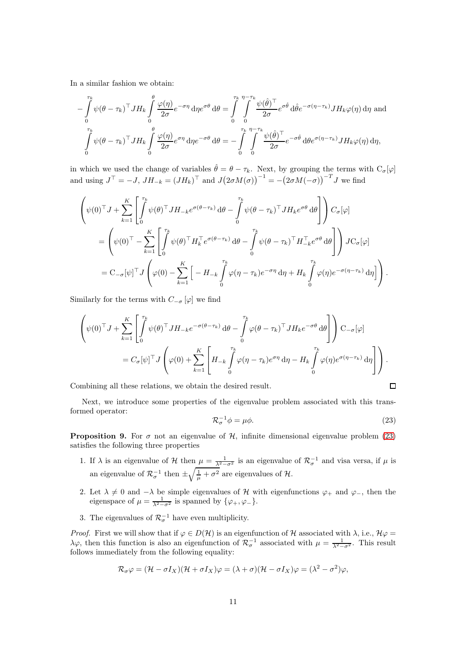In a similar fashion we obtain:

$$
-\int_{0}^{\tau_{k}} \psi(\theta - \tau_{k})^{\top} J H_{k} \int_{0}^{\theta} \frac{\varphi(\eta)}{2\sigma} e^{-\sigma \eta} d\eta e^{\sigma \theta} d\theta = \int_{0}^{\tau_{k}} \int_{0}^{\eta - \tau_{k}} \frac{\psi(\hat{\theta})^{\top}}{2\sigma} e^{\sigma \hat{\theta}} d\hat{\theta} e^{-\sigma(\eta - \tau_{k})} J H_{k} \varphi(\eta) d\eta
$$
and
$$
\int_{0}^{\tau_{k}} \psi(\theta - \tau_{k})^{\top} J H_{k} \int_{0}^{\theta} \frac{\varphi(\eta)}{2\sigma} e^{\sigma \eta} d\eta e^{-\sigma \theta} d\theta = -\int_{0}^{\tau_{k}} \int_{0}^{\eta - \tau_{k}} \frac{\psi(\hat{\theta})^{\top}}{2\sigma} e^{-\sigma \hat{\theta}} d\theta e^{\sigma(\eta - \tau_{k})} J H_{k} \varphi(\eta) d\eta,
$$

in which we used the change of variables  $\hat{\theta} = \theta - \tau_k$ . Next, by grouping the terms with  $C_{\sigma}[\varphi]$ and using  $J^{\top} = -J$ ,  $JH_{-k} = (JH_k)^{\top}$  and  $J(2\sigma M(\sigma))^{-1} = -(2\sigma M(-\sigma))^{-T}J$  we find

$$
\begin{split}\n&\left(\psi(0)^{\top}J + \sum_{k=1}^{K} \left[ \int_{0}^{\tau_{k}} \psi(\theta)^{\top} J H_{-k} e^{\sigma(\theta-\tau_{k})} d\theta - \int_{0}^{\tau_{k}} \psi(\theta-\tau_{k})^{\top} J H_{k} e^{\sigma\theta} d\theta \right] \right) C_{\sigma}[\varphi] \\
&= \left(\psi(0)^{\top} - \sum_{k=1}^{K} \left[ \int_{0}^{\tau_{k}} \psi(\theta)^{\top} H_{k}^{\top} e^{\sigma(\theta-\tau_{k})} d\theta - \int_{0}^{\tau_{k}} \psi(\theta-\tau_{k})^{\top} H_{-k}^{\top} e^{\sigma\theta} d\theta \right] \right) J C_{\sigma}[\varphi] \\
&= C_{-\sigma}[\psi]^{\top} J \left(\varphi(0) - \sum_{k=1}^{K} \left[ -H_{-k} \int_{0}^{\tau_{k}} \varphi(\eta-\tau_{k}) e^{-\sigma\eta} d\eta + H_{k} \int_{0}^{\tau_{k}} \varphi(\eta) e^{-\sigma(\eta-\tau_{k})} d\eta \right] \right).\n\end{split}
$$

Similarly for the terms with  $C_{-\sigma}[\varphi]$  we find

$$
\left(\psi(0)^{\top}J + \sum_{k=1}^{K} \left[ \int_{0}^{\tau_{k}} \psi(\theta)^{\top} J H_{-k} e^{-\sigma(\theta-\tau_{k})} d\theta - \int_{0}^{\tau_{k}} \varphi(\theta-\tau_{k})^{\top} J H_{k} e^{-\sigma\theta} d\theta \right] \right) \mathbf{C}_{-\sigma}[\varphi]
$$
  
=  $C_{\sigma}[\psi]^{\top} J \left(\varphi(0) + \sum_{k=1}^{K} \left[ H_{-k} \int_{0}^{\tau_{k}} \varphi(\eta-\tau_{k}) e^{\sigma\eta} d\eta - H_{k} \int_{0}^{\tau_{k}} \varphi(\eta) e^{\sigma(\eta-\tau_{k})} d\eta \right] \right).$ 

Combining all these relations, we obtain the desired result.

Next, we introduce some properties of the eigenvalue problem associated with this transformed operator:

<span id="page-10-0"></span>
$$
\mathcal{R}_{\sigma}^{-1}\phi = \mu\phi. \tag{23}
$$

 $\Box$ 

<span id="page-10-1"></span>**Proposition 9.** For  $\sigma$  not an eigenvalue of H, infinite dimensional eigenvalue problem [\(23\)](#page-10-0) satisfies the following three properties

- 1. If  $\lambda$  is an eigenvalue of H then  $\mu = \frac{1}{\lambda^2 \sigma^2}$  is an eigenvalue of  $\mathcal{R}_{\sigma}^{-1}$  and visa versa, if  $\mu$  is an eigenvalue of  $\mathcal{R}_{\sigma}^{-1}$  then  $\pm \sqrt{\frac{1}{\mu} + \sigma^2}$  are eigenvalues of  $\mathcal{H}$ .
- 2. Let  $\lambda \neq 0$  and  $-\lambda$  be simple eigenvalues of H with eigenfunctions  $\varphi_+$  and  $\varphi_-,$  then the eigenspace of  $\mu = \frac{1}{\lambda^2 - \sigma^2}$  is spanned by  $\{\varphi_+, \varphi_-\}.$
- 3. The eigenvalues of  $\mathcal{R}_{\sigma}^{-1}$  have even multiplicity.

*Proof.* First we will show that if  $\varphi \in D(\mathcal{H})$  is an eigenfunction of H associated with  $\lambda$ , i.e.,  $\mathcal{H}\varphi =$  $\lambda$ φ, then this function is also an eigenfunction of  $\mathcal{R}_{\sigma}^{-1}$  associated with  $\mu = \frac{1}{\lambda^2 - \sigma^2}$ . This result follows immediately from the following equality:

$$
\mathcal{R}_{\sigma}\varphi=(\mathcal{H}-\sigma I_X)(\mathcal{H}+\sigma I_X)\varphi=(\lambda+\sigma)(\mathcal{H}-\sigma I_X)\varphi=(\lambda^2-\sigma^2)\varphi,
$$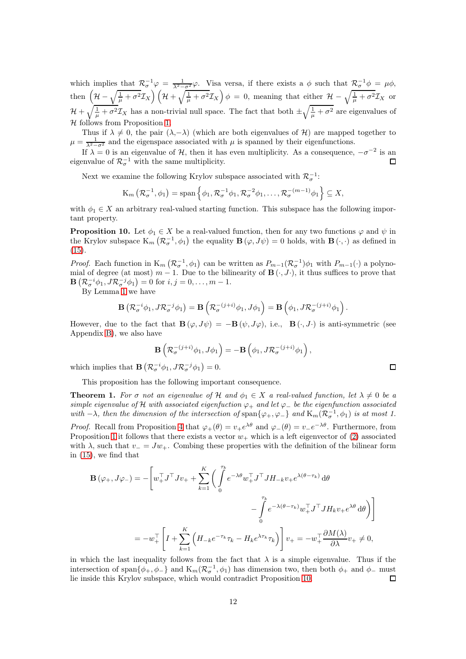which implies that  $\mathcal{R}_{\sigma}^{-1}\varphi = \frac{1}{\lambda^2-\sigma^2}\varphi$ . Visa versa, if there exists a  $\phi$  such that  $\mathcal{R}_{\sigma}^{-1}\phi = \mu\phi$ , then  $\left(\mathcal{H}-\sqrt{\frac{1}{\mu}+\sigma^2}\mathcal{I}_X\right)\left(\mathcal{H}+\sqrt{\frac{1}{\mu}+\sigma^2}\mathcal{I}_X\right)\phi\,=\,0$ , meaning that either  $\mathcal{H}-\sqrt{\frac{1}{\mu}+\sigma^2}\mathcal{I}_X$  or  $\mathcal{H} + \sqrt{\frac{1}{\mu} + \sigma^2} \mathcal{I}_X$  has a non-trivial null space. The fact that both  $\pm \sqrt{\frac{1}{\mu} + \sigma^2}$  are eigenvalues of  $H$  follows from Proposition [1.](#page-3-0)

Thus if  $\lambda \neq 0$ , the pair  $(\lambda, -\lambda)$  (which are both eigenvalues of H) are mapped together to  $\mu = \frac{1}{\lambda^2 - \sigma^2}$  and the eigenspace associated with  $\mu$  is spanned by their eigenfunctions.

If  $\lambda = 0$  is an eigenvalue of H, then it has even multiplicity. As a consequence,  $-\sigma^{-2}$  is an eigenvalue of  $\mathcal{R}_{\sigma}^{-1}$  with the same multiplicity. П

Next we examine the following Krylov subspace associated with  $\mathcal{R}_{\sigma}^{-1}$ :

$$
K_m\left(\mathcal{R}_{\sigma}^{-1},\phi_1\right) = \mathrm{span}\left\{\phi_1,\mathcal{R}_{\sigma}^{-1}\phi_1,\mathcal{R}_{\sigma}^{-2}\phi_1,\ldots,\mathcal{R}_{\sigma}^{-(m-1)}\phi_1\right\} \subseteq X,
$$

<span id="page-11-0"></span>with  $\phi_1 \in X$  an arbitrary real-valued starting function. This subspace has the following important property.

**Proposition 10.** Let  $\phi_1 \in X$  be a real-valued function, then for any two functions  $\varphi$  and  $\psi$  in the Krylov subspace  $K_m(\mathcal{R}_{\sigma}^{-1}, \phi_1)$  the equality  $\mathbf{B}(\varphi, J\psi) = 0$  holds, with  $\mathbf{B}(\cdot, \cdot)$  as defined in  $(15).$  $(15).$ 

*Proof.* Each function in  $K_m(\mathcal{R}_{\sigma}^{-1}, \phi_1)$  can be written as  $P_{m-1}(\mathcal{R}_{\sigma}^{-1})\phi_1$  with  $P_{m-1}(\cdot)$  a polynomial of degree (at most)  $m-1$ . Due to the bilinearity of  $\mathbf{B}(\cdot, J\cdot)$ , it thus suffices to prove that  $\mathbf{B}\left(\mathcal{R}_{\sigma}^{-i}\phi_1, J\mathcal{R}_{\sigma}^{-j}\phi_1\right) = 0$  for  $i, j = 0, \ldots, m - 1$ .

By Lemma [1](#page-9-2) we have

$$
\mathbf{B}\left(\mathcal{R}_{\sigma}^{-i}\phi_1, J\mathcal{R}_{\sigma}^{-j}\phi_1\right) = \mathbf{B}\left(\mathcal{R}_{\sigma}^{-(j+i)}\phi_1, J\phi_1\right) = \mathbf{B}\left(\phi_1, J\mathcal{R}_{\sigma}^{-(j+i)}\phi_1\right).
$$

However, due to the fact that  $\mathbf{B}(\varphi, J\psi) = -\mathbf{B}(\psi, J\varphi)$ , i.e.,  $\mathbf{B}(\cdot, J\cdot)$  is anti-symmetric (see Appendix [B\)](#page-26-0), we also have

$$
\mathbf{B}\left(\mathcal{R}_{\sigma}^{-(j+i)}\phi_1, J\phi_1\right) = -\mathbf{B}\left(\phi_1, J\mathcal{R}_{\sigma}^{-(j+i)}\phi_1\right),\,
$$

 $\Box$ 

which implies that  $\mathbf{B}\left(\mathcal{R}_{\sigma}^{-i}\phi_1, J\mathcal{R}_{\sigma}^{-j}\phi_1\right) = 0.$ 

<span id="page-11-1"></span>This proposition has the following important consequence.

**Theorem 1.** For  $\sigma$  not an eigenvalue of H and  $\phi_1 \in X$  a real-valued function, let  $\lambda \neq 0$  be a simple eigenvalue of H with associated eigenfuction  $\varphi_+$  and let  $\varphi_-$  be the eigenfunction associated with  $-\lambda$ , then the dimension of the intersection of span $\{\varphi_+,\varphi_-\}$  and  $\text{K}_m(\mathcal{R}_{\sigma}^{-1},\phi_1)$  is at most 1. *Proof.* Recall from Proposition [4](#page-6-3) that  $\varphi_+(\theta) = v_+e^{\lambda\theta}$  and  $\varphi_-(\theta) = v_-e^{-\lambda\theta}$ . Furthermore, from Proposition [1](#page-3-0) it follows that there exists a vector  $w_+$  which is a left eigenvector of [\(2\)](#page-0-1) associated with  $\lambda$ , such that  $v_ - = Jw_ +$ . Combing these properties with the definition of the bilinear form in [\(15\)](#page-7-0), we find that

$$
\mathbf{B}(\varphi_+, J\varphi_-) = -\left[w_+^\top J^\top J v_+ + \sum_{k=1}^K \left(\int_0^{\tau_k} e^{-\lambda \theta} w_+^\top J^\top J H_{-k} v_+ e^{\lambda(\theta-\tau_k)} d\theta \right) - \int_0^{\tau_k} e^{-\lambda(\theta-\tau_k)} w_+^\top J^\top J H_k v_+ e^{\lambda \theta} d\theta \right)\right]
$$
  
=  $-w_+^\top \left[I + \sum_{k=1}^K \left(H_{-k} e^{-\tau_k} \tau_k - H_k e^{\lambda \tau_k} \tau_k\right)\right] v_+ = -w_+^\top \frac{\partial M(\lambda)}{\partial \lambda} v_+ \neq 0,$ 

in which the last inequality follows from the fact that  $\lambda$  is a simple eigenvalue. Thus if the intersection of span $\{\phi_+, \phi_-\}$  and  $\mathcal{K}_m(\mathcal{R}_{\sigma}^{-1}, \phi_1)$  has dimension two, then both  $\phi_+$  and  $\phi_-$  must lie inside this Krylov subspace, which would contradict Proposition [10.](#page-11-0)  $\Box$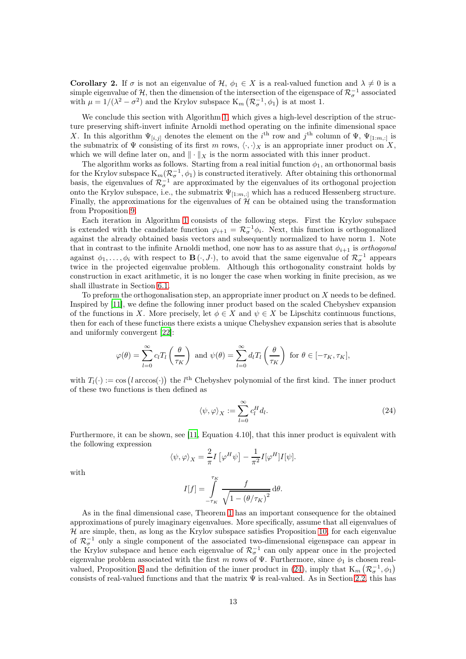Corollary 2. If  $\sigma$  is not an eigenvalue of  $\mathcal{H}, \phi_1 \in X$  is a real-valued function and  $\lambda \neq 0$  is a simple eigenvalue of  $\mathcal{H}$ , then the dimension of the intersection of the eigenspace of  $\mathcal{R}_{\sigma}^{-1}$  associated with  $\mu = 1/(\lambda^2 - \sigma^2)$  and the Krylov subspace  $K_m(\mathcal{R}_{\sigma}^{-1}, \phi_1)$  is at most 1.

We conclude this section with Algorithm [1,](#page-13-1) which gives a high-level description of the structure preserving shift-invert infinite Arnoldi method operating on the infinite dimensional space X. In this algorithm  $\Psi_{[i,j]}$  denotes the element on the  $i^{\text{th}}$  row and  $j^{\text{th}}$  column of  $\Psi$ ,  $\Psi_{[1:m,:]}$  is the submatrix of  $\Psi$  consisting of its first m rows,  $\langle \cdot, \cdot \rangle_X$  is an appropriate inner product on X, which we will define later on, and  $\|\cdot\|_X$  is the norm associated with this inner product.

The algorithm works as follows. Starting from a real initial function  $\phi_1$ , an orthonormal basis for the Krylov subspace  $K_m(\mathcal{R}_{\sigma}^{-1}, \phi_1)$  is constructed iteratively. After obtaining this orthonormal basis, the eigenvalues of  $\mathcal{R}_{\sigma}^{-1}$  are approximated by the eigenvalues of its orthogonal projection onto the Krylov subspace, i.e., the submatrix  $\Psi_{[1:m,:]}$  which has a reduced Hessenberg structure. Finally, the approximations for the eigenvalues of  $H$  can be obtained using the transformation from Proposition [9.](#page-10-1)

Each iteration in Algorithm [1](#page-13-1) consists of the following steps. First the Krylov subspace is extended with the candidate function  $\varphi_{i+1} = \mathcal{R}_{\sigma}^{-1} \phi_i$ . Next, this function is orthogonalized against the already obtained basis vectors and subsequently normalized to have norm 1. Note that in contrast to the infinite Arnoldi method, one now has to as assure that  $\phi_{i+1}$  is *orthogonal* against  $\phi_1,\ldots,\phi_i$  with respect to  $\mathbf{B}(\cdot,J\cdot)$ , to avoid that the same eigenvalue of  $\mathcal{R}_{\sigma}^{-1}$  appears twice in the projected eigenvalue problem. Although this orthogonality constraint holds by construction in exact arithmetic, it is no longer the case when working in finite precision, as we shall illustrate in Section [6.1.](#page-19-1)

To preform the orthogonalisation step, an appropriate inner product on  $X$  needs to be defined. Inspired by [\[11](#page-24-12)], we define the following inner product based on the scaled Chebyshev expansion of the functions in X. More precisely, let  $\phi \in X$  and  $\psi \in X$  be Lipschitz continuous functions, then for each of these functions there exists a unique Chebyshev expansion series that is absolute and uniformly convergent [\[22\]](#page-24-19):

$$
\varphi(\theta) = \sum_{l=0}^{\infty} c_l T_l \left(\frac{\theta}{\tau_K}\right) \text{ and } \psi(\theta) = \sum_{l=0}^{\infty} d_l T_l \left(\frac{\theta}{\tau_K}\right) \text{ for } \theta \in [-\tau_K, \tau_K],
$$

with  $T_l(\cdot) := \cos(l \arccos(\cdot))$  the l<sup>th</sup> Chebyshev polynomial of the first kind. The inner product of these two functions is then defined as

<span id="page-12-0"></span>
$$
\langle \psi, \varphi \rangle_X := \sum_{l=0}^{\infty} c_l^H d_l. \tag{24}
$$

Furthermore, it can be shown, see [\[11,](#page-24-12) Equation 4.10], that this inner product is equivalent with the following expression

$$
\langle \psi, \varphi \rangle_X = \frac{2}{\pi} I \left[ \varphi^H \psi \right] - \frac{1}{\pi^2} I [\varphi^H] I [\psi].
$$

with

$$
I[f] = \int_{-\tau_K}^{\tau_K} \frac{f}{\sqrt{1 - (\theta/\tau_K)^2}} d\theta.
$$

As in the final dimensional case, Theorem [1](#page-11-1) has an important consequence for the obtained approximations of purely imaginary eigenvalues. More specifically, assume that all eigenvalues of  $H$  are simple, then, as long as the Krylov subspace satisfies Proposition [10,](#page-11-0) for each eigenvalue of  $\mathcal{R}_{\sigma}^{-1}$  only a single component of the associated two-dimensional eigenspace can appear in the Krylov subspace and hence each eigenvalue of  $\mathcal{R}_{\sigma}^{-1}$  can only appear once in the projected eigenvalue problem associated with the first m rows of  $\Psi$ . Furthermore, since  $\phi_1$  is chosen real-valued, Proposition [8](#page-9-3) and the definition of the inner product in [\(24\)](#page-12-0), imply that  $K_m(\mathcal{R}_{\sigma}^{-1}, \phi_1)$ consists of real-valued functions and that the matrix  $\Psi$  is real-valued. As in Section [2.2,](#page-4-2) this has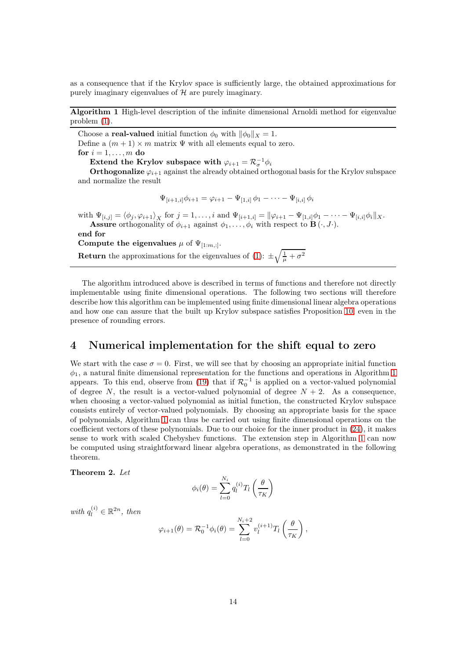as a consequence that if the Krylov space is sufficiently large, the obtained approximations for purely imaginary eigenvalues of  $H$  are purely imaginary.

<span id="page-13-1"></span>Algorithm 1 High-level description of the infinite dimensional Arnoldi method for eigenvalue problem [\(1\)](#page-0-0).

Choose a **real-valued** initial function  $\phi_0$  with  $\|\phi_0\|_X = 1$ . Define a  $(m + 1) \times m$  matrix  $\Psi$  with all elements equal to zero. for  $i = 1, \ldots, m$  do Extend the Krylov subspace with  $\varphi_{i+1} = \mathcal{R}_{\sigma}^{-1} \phi_i$ 

**Orthogonalize**  $\varphi_{i+1}$  against the already obtained orthogonal basis for the Krylov subspace and normalize the result

$$
\Psi_{[i+1,i]}\phi_{i+1} = \varphi_{i+1} - \Psi_{[1,i]}\phi_1 - \cdots - \Psi_{[i,i]}\phi_i
$$

with  $\Psi_{[i,j]} = \langle \phi_j, \varphi_{i+1} \rangle_X$  for  $j = 1, ..., i$  and  $\Psi_{[i+1,i]} = ||\varphi_{i+1} - \Psi_{[1,i]}\phi_1 - \cdots - \Psi_{[i,i]}\phi_i||_X$ . **Assure** orthogonality of  $\phi_{i+1}$  against  $\phi_1, \ldots, \phi_i$  with respect to  $\mathbf{B}(\cdot, J \cdot)$ .

end for Compute the eigenvalues  $\mu$  of  $\Psi_{[1:m,:]}$ . **Return** the approximations for the eigenvalues of [\(1\)](#page-0-0):  $\pm \sqrt{\frac{1}{\mu} + \sigma^2}$ 

The algorithm introduced above is described in terms of functions and therefore not directly implementable using finite dimensional operations. The following two sections will therefore describe how this algorithm can be implemented using finite dimensional linear algebra operations and how one can assure that the built up Krylov subspace satisfies Proposition [10,](#page-11-0) even in the presence of rounding errors.

### <span id="page-13-0"></span>4 Numerical implementation for the shift equal to zero

We start with the case  $\sigma = 0$ . First, we will see that by choosing an appropriate initial function  $\phi_1$ , a natural finite dimensional representation for the functions and operations in Algorithm [1](#page-13-1) appears. To this end, observe from [\(19\)](#page-8-3) that if  $\mathcal{R}_0^{-1}$  is applied on a vector-valued polynomial of degree N, the result is a vector-valued polynomial of degree  $N + 2$ . As a consequence, when choosing a vector-valued polynomial as initial function, the constructed Krylov subspace consists entirely of vector-valued polynomials. By choosing an appropriate basis for the space of polynomials, Algorithm [1](#page-13-1) can thus be carried out using finite dimensional operations on the coefficient vectors of these polynomials. Due to our choice for the inner product in [\(24\)](#page-12-0), it makes sense to work with scaled Chebyshev functions. The extension step in Algorithm [1](#page-13-1) can now be computed using straightforward linear algebra operations, as demonstrated in the following theorem.

#### <span id="page-13-2"></span>Theorem 2. Let

$$
\phi_i(\theta) = \sum_{l=0}^{N_i} q_l^{(i)} T_l \left(\frac{\theta}{\tau_K}\right)
$$

with  $q_l^{(i)} \in \mathbb{R}^{2n}$ , then

$$
\varphi_{i+1}(\theta) = \mathcal{R}_0^{-1} \phi_i(\theta) = \sum_{l=0}^{N_i+2} v_l^{(i+1)} T_l \left(\frac{\theta}{\tau_K}\right),
$$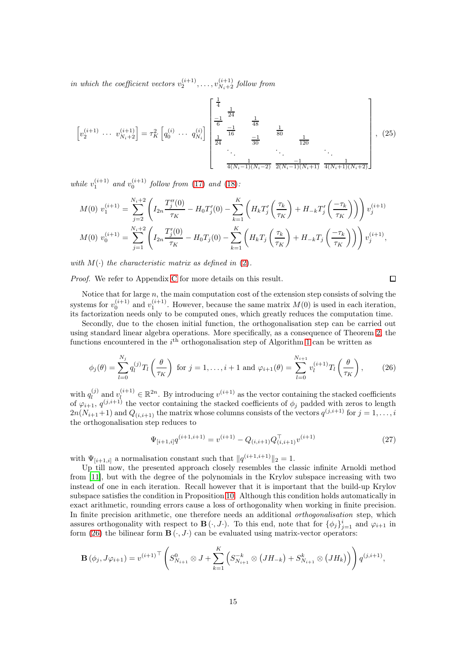in which the coefficient vectors  $v_2^{(i+1)}, \ldots, v_{N_i+2}^{(i+1)}$  follow from

<span id="page-14-2"></span>
$$
\left[v_{2}^{(i+1)}\ \cdots\ v_{N_{i}+2}^{(i+1)}\right] = \tau_{K}^{2}\left[q_{0}^{(i)}\ \cdots\ q_{N_{i}}^{(i)}\right]\begin{bmatrix} \frac{1}{4} & & & \\ \frac{-1}{6} & \frac{1}{16} & & \frac{1}{80} \\ \frac{1}{24} & \frac{-1}{16} & & \frac{1}{80} \\ \vdots & \vdots & \ddots & \vdots \\ \frac{1}{4(N_{i}-1)(N_{i}-2)} & \frac{-1}{2(N_{i}-1)(N_{i}+1)} & \frac{1}{4(N_{i}+1)(N_{i}+2)} \end{bmatrix},\tag{25}
$$

while  $v_1^{(i+1)}$  and  $v_0^{(i+1)}$  follow from [\(17\)](#page-8-1) and [\(18\)](#page-8-2):

$$
M(0) v_1^{(i+1)} = \sum_{j=2}^{N_i+2} \left( I_{2n} \frac{T_j''(0)}{\tau_K} - H_0 T_j'(0) - \sum_{k=1}^K \left( H_k T_j' \left( \frac{\tau_k}{\tau_K} \right) + H_{-k} T_j' \left( \frac{-\tau_k}{\tau_K} \right) \right) \right) v_j^{(i+1)}
$$
  

$$
M(0) v_0^{(i+1)} = \sum_{j=1}^{N_i+2} \left( I_{2n} \frac{T_j'(0)}{\tau_K} - H_0 T_j(0) - \sum_{k=1}^K \left( H_k T_j \left( \frac{\tau_k}{\tau_K} \right) + H_{-k} T_j \left( \frac{-\tau_k}{\tau_K} \right) \right) \right) v_j^{(i+1)},
$$

with  $M(\cdot)$  the characteristic matrix as defined in [\(2\)](#page-0-1).

Proof. We refer to Appendix [C](#page-26-1) for more details on this result.

$$
\Box
$$

Notice that for large  $n$ , the main computation cost of the extension step consists of solving the systems for  $v_0^{(i+1)}$  and  $v_1^{(i+1)}$ . However, because the same matrix  $M(0)$  is used in each iteration, its factorization needs only to be computed ones, which greatly reduces the computation time.

Secondly, due to the chosen initial function, the orthogonalisation step can be carried out using standard linear algebra operations. More specifically, as a consequence of Theorem [2,](#page-13-2) the functions encountered in the  $i<sup>th</sup>$  orthogonalisation step of Algorithm [1](#page-13-1) can be written as

<span id="page-14-0"></span>
$$
\phi_j(\theta) = \sum_{l=0}^{N_j} q_l^{(j)} T_l \left( \frac{\theta}{\tau_K} \right) \text{ for } j = 1, \dots, i+1 \text{ and } \varphi_{i+1}(\theta) = \sum_{l=0}^{N_{i+1}} v_l^{(i+1)} T_l \left( \frac{\theta}{\tau_K} \right), \tag{26}
$$

with  $q_l^{(j)}$  $\mathbf{u}_l^{(j)}$  and  $v_l^{(i+1)} \in \mathbb{R}^{2n}$ . By introducing  $v^{(i+1)}$  as the vector containing the stacked coefficients of  $\varphi_{i+1}, q^{(j,i+1)}$  the vector containing the stacked coefficients of  $\phi_j$  padded with zeros to length  $2n(N_{i+1}+1)$  and  $Q_{(i,i+1)}$  the matrix whose columns consists of the vectors  $q^{(j,i+1)}$  for  $j=1,\ldots,i$ the orthogonalisation step reduces to

<span id="page-14-1"></span>
$$
\Psi_{[i+1,i]}q^{(i+1,i+1)} = v^{(i+1)} - Q_{(i,i+1)}Q_{(i,i+1)}^{\top}v^{(i+1)}
$$
\n(27)

with  $\Psi_{[i+1,i]}$  a normalisation constant such that  $||q^{(i+1,i+1)}||_2 = 1$ .

Up till now, the presented approach closely resembles the classic infinite Arnoldi method from [\[11\]](#page-24-12), but with the degree of the polynomials in the Krylov subspace increasing with two instead of one in each iteration. Recall however that it is important that the build-up Krylov subspace satisfies the condition in Proposition [10.](#page-11-0) Although this condition holds automatically in exact arithmetic, rounding errors cause a loss of orthogonality when working in finite precision. In finite precision arithmetic, one therefore needs an additional *orthogonalisation* step, which assures orthogonality with respect to  $\mathbf{B}(\cdot, J \cdot)$ . To this end, note that for  $\{\phi_j\}_{j=1}^i$  and  $\varphi_{i+1}$  in form [\(26\)](#page-14-0) the bilinear form  $\overline{B}(\cdot, J \cdot)$  can be evaluated using matrix-vector operators:

$$
\mathbf{B}(\phi_j, J\varphi_{i+1}) = v^{(i+1)}^\top \left( S_{N_{i+1}}^0 \otimes J + \sum_{k=1}^K \left( S_{N_{i+1}}^{-k} \otimes (JH_{-k}) + S_{N_{i+1}}^k \otimes (JH_k) \right) \right) q^{(j,i+1)},
$$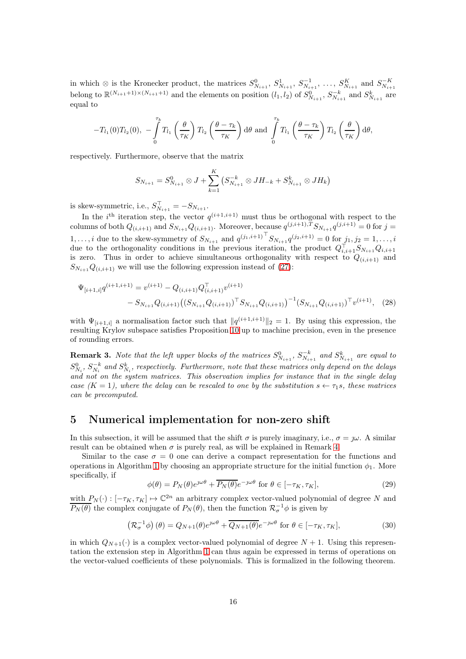in which ⊗ is the Kronecker product, the matrices  $S_{N_{i+1}}^0$ ,  $S_{N_{i+1}}^1$ ,  $S_{N_{i+1}}^{-1}$ , ...,  $S_{N_{i+1}}^K$  and  $S_{N_{i+1}}^{-K}$ belong to  $\mathbb{R}^{(N_{i+1}+1)\times(N_{i+1}+1)}$  and the elements on position  $(l_1, l_2)$  of  $S_{N_{i+1}}^0$ ,  $S_{N_{i+1}}^{-k}$  and  $S_{N_{i+1}}^k$  are equal to

$$
-T_{l_1}(0)T_{l_2}(0), -\int\limits_0^{\tau_k} T_{l_1}\left(\frac{\theta}{\tau_K}\right)T_{l_2}\left(\frac{\theta-\tau_k}{\tau_K}\right) d\theta \text{ and } \int\limits_0^{\tau_k} T_{l_1}\left(\frac{\theta-\tau_k}{\tau_K}\right)T_{l_2}\left(\frac{\theta}{\tau_K}\right) d\theta,
$$

respectively. Furthermore, observe that the matrix

<span id="page-15-3"></span>
$$
S_{N_{i+1}} = S_{N_{i+1}}^0 \otimes J + \sum_{k=1}^K \left( S_{N_{i+1}}^{-k} \otimes J H_{-k} + S_{N_{i+1}}^k \otimes J H_k \right)
$$

is skew-symmetric, i.e.,  $S_{N_{i+1}}^{\top} = -S_{N_{i+1}}$ .

In the *i*<sup>th</sup> iteration step, the vector  $q^{(i+1,i+1)}$  must thus be orthogonal with respect to the columns of both  $Q_{(i,i+1)}$  and  $S_{N_{i+1}}Q_{(i,i+1)}$ . Moreover, because  $q^{(j,i+1),T}S_{N_{i+1}}q^{(j,i+1)}=0$  for  $j=$ 1,..., *i* due to the skew-symmetry of  $S_{N_{i+1}}$  and  $q^{(j_1,i+1)}$ <sup>T</sup> $S_{N_{i+1}}q^{(j_2,i+1)} = 0$  for  $j_1, j_2 = 1, \ldots, i$ due to the orthogonality conditions in the previous iteration, the product  $Q_{i,i+1}^{\dagger}S_{N_{i+1}}Q_{i,i+1}$ is zero. Thus in order to achieve simultaneous orthogonality with respect to  $Q_{(i,i+1)}$  and  $S_{N_{i+1}}Q_{(i,i+1)}$  we will use the following expression instead of [\(27\)](#page-14-1):

$$
\Psi_{[i+1,i]}q^{(i+1,i+1)} = v^{(i+1)} - Q_{(i,i+1)}Q_{(i,i+1)}^{\top}v^{(i+1)} - S_{N_{i+1}}Q_{(i,i+1)}(S_{N_{i+1}}Q_{(i,i+1)})^{\top}S_{N_{i+1}}Q_{(i,i+1)})^{-1}(S_{N_{i+1}}Q_{(i,i+1)})^{\top}v^{(i+1)}, \quad (28)
$$

with  $\Psi_{[i+1,i]}$  a normalisation factor such that  $||q^{(i+1,i+1)}||_2 = 1$ . By using this expression, the resulting Krylov subspace satisfies Proposition [10](#page-11-0) up to machine precision, even in the presence of rounding errors.

**Remark 3.** Note that the left upper blocks of the matrices  $S_{N_{i+1}}^0$ ,  $S_{N_{i+1}}^{-k}$  and  $S_{N_{i+1}}^k$  are equal to  $S_{N_i}^0$ ,  $S_{N_i}^{-k}$  and  $S_{N_i}^k$ , respectively. Furthermore, note that these matrices only depend on the delays and not on the system matrices. This observation implies for instance that in the single delay case  $(K = 1)$ , where the delay can be rescaled to one by the substitution  $s \leftarrow \tau_1 s$ , these matrices can be precomputed.

### <span id="page-15-0"></span>5 Numerical implementation for non-zero shift

In this subsection, it will be assumed that the shift  $\sigma$  is purely imaginary, i.e.,  $\sigma = \gamma \omega$ . A similar result can be obtained when  $\sigma$  is purely real, as will be explained in Remark [4.](#page-16-0)

Similar to the case  $\sigma = 0$  one can derive a compact representation for the functions and operations in Algorithm [1](#page-13-1) by choosing an appropriate structure for the initial function  $\phi_1$ . More specifically, if

<span id="page-15-1"></span>
$$
\phi(\theta) = P_N(\theta)e^{j\omega\theta} + \overline{P_N(\theta)}e^{-j\omega\theta} \text{ for } \theta \in [-\tau_K, \tau_K],\tag{29}
$$

with  $P_N(\cdot) : [-\tau_K, \tau_K] \mapsto \mathbb{C}^{2n}$  an arbitrary complex vector-valued polynomial of degree N and  $\overline{P_N(\theta)}$  the complex conjugate of  $P_N(\theta)$ , then the function  $\mathcal{R}_{\sigma}^{-1}\phi$  is given by

$$
\left(\mathcal{R}_{\sigma}^{-1}\phi\right)(\theta) = Q_{N+1}(\theta)e^{\jmath\omega\theta} + \overline{Q_{N+1}(\theta)}e^{-\jmath\omega\theta} \text{ for } \theta \in [-\tau_K, \tau_K],\tag{30}
$$

<span id="page-15-2"></span>in which  $Q_{N+1}(\cdot)$  is a complex vector-valued polynomial of degree  $N+1$ . Using this representation the extension step in Algorithm [1](#page-13-1) can thus again be expressed in terms of operations on the vector-valued coefficients of these polynomials. This is formalized in the following theorem.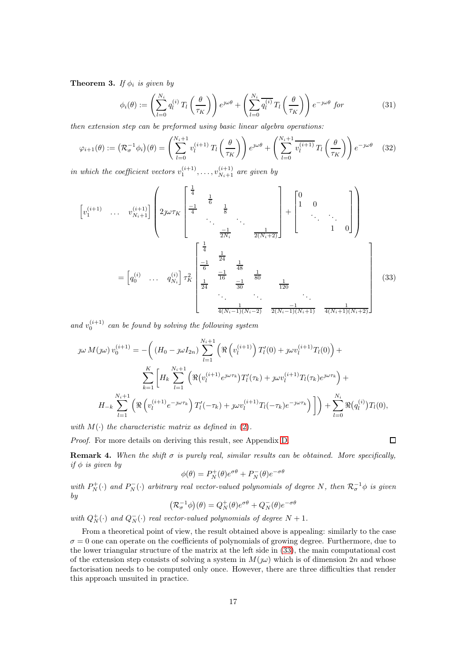**Theorem 3.** If  $\phi_i$  is given by

<span id="page-16-2"></span>
$$
\phi_i(\theta) := \left(\sum_{l=0}^{N_i} q_l^{(i)} T_l \left(\frac{\theta}{\tau_K}\right)\right) e^{j\omega\theta} + \left(\sum_{l=0}^{N_i} \overline{q_l^{(i)}} T_l \left(\frac{\theta}{\tau_K}\right)\right) e^{-j\omega\theta} \text{ for } (31)
$$

then extension step can be preformed using basic linear algebra operations:

$$
\varphi_{i+1}(\theta) := \left(\mathcal{R}_{\sigma}^{-1}\phi_i\right)(\theta) = \left(\sum_{l=0}^{N_i+1} v_l^{(i+1)} T_l \left(\frac{\theta}{\tau_K}\right)\right) e^{\jmath\omega\theta} + \left(\sum_{l=0}^{N_i+1} \overline{v_l^{(i+1)}} T_l \left(\frac{\theta}{\tau_K}\right)\right) e^{-\jmath\omega\theta} \tag{32}
$$

in which the coefficient vectors  $v_1^{(i+1)}, \ldots, v_{N_i+1}^{(i+1)}$  are given by

$$
\begin{bmatrix} v_1^{(i+1)} & \cdots & v_{N_i+1}^{(i+1)} \end{bmatrix} \begin{bmatrix} \frac{1}{4} & \frac{1}{6} & & \\ 2\jmath\omega\tau_K & \frac{-1}{4} & \frac{1}{8} & \\ \vdots & \vdots & \ddots & \\ \frac{-1}{2N_i} & \frac{1}{2(N_i+2)} \end{bmatrix} + \begin{bmatrix} 0 & & \\ 1 & 0 & \\ & \ddots & \ddots \\ & & 1 & 0 \end{bmatrix}
$$

$$
= \begin{bmatrix} q_0^{(i)} & \cdots & q_{N_i}^{(i)} \end{bmatrix} \tau_K^2 \begin{bmatrix} \frac{1}{4} & & & \\ \frac{-1}{6} & \frac{1}{48} & & \\ \frac{1}{24} & \frac{1}{16} & \frac{1}{80} & \\ \frac{1}{24} & \frac{1}{30} & \frac{1}{120} & \\ & \ddots & \ddots & \ddots \\ \frac{1}{4(N_i-1)(N_i-2)} & \frac{-1}{2(N_i-1)(N_i+1)} & \frac{1}{4(N_i+1)(N_i+2)} \end{bmatrix}
$$
(33)

and  $v_0^{(i+1)}$  can be found by solving the following system

$$
j\omega M(\jmath\omega) v_0^{(i+1)} = -\left( (H_0 - \jmath\omega I_{2n}) \sum_{l=1}^{N_i+1} \left( \Re\left( v_l^{(i+1)} \right) T'_l(0) + \jmath\omega v_l^{(i+1)} T_l(0) \right) + \sum_{k=1}^K \left[ H_k \sum_{l=1}^{N_i+1} \left( \Re\left( v_l^{(i+1)} e^{j\omega \tau_k} \right) T'_l(\tau_k) + \jmath\omega v_l^{(i+1)} T_l(\tau_k) e^{j\omega \tau_k} \right) + \right. \\
H_{-k} \sum_{l=1}^{N_i+1} \left( \Re\left( v_l^{(i+1)} e^{-j\omega \tau_k} \right) T'_l(-\tau_k) + \jmath\omega v_l^{(i+1)} T_l(-\tau_k) e^{-j\omega \tau_k} \right) \right] \right) + \sum_{l=0}^{N_i} \Re(q_l^{(i)}) T_l(0),
$$

with  $M(\cdot)$  the characteristic matrix as defined in [\(2\)](#page-0-1).

<span id="page-16-0"></span>Proof. For more details on deriving this result, see Appendix [D.](#page-26-2)

**Remark 4.** When the shift  $\sigma$  is purely real, similar results can be obtained. More specifically, if  $\phi$  is given by

<span id="page-16-1"></span> $\Box$ 

$$
\phi(\theta)=P_N^+(\theta)e^{\sigma\theta}+P_N^-(\theta)e^{-\sigma\theta}
$$

with  $P_N^+(\cdot)$  and  $P_N^-(\cdot)$  arbitrary real vector-valued polynomials of degree N, then  $\mathcal{R}_{\sigma}^{-1}\phi$  is given by

$$
\left(\mathcal{R}_{\sigma}^{-1}\phi\right)(\theta)=Q_N^+(\theta)e^{\sigma\theta}+Q_N^-(\theta)e^{-\sigma\theta}
$$

with  $Q_N^+(\cdot)$  and  $Q_N^-(\cdot)$  real vector-valued polynomials of degree  $N+1$ .

From a theoretical point of view, the result obtained above is appealing: similarly to the case  $\sigma = 0$  one can operate on the coefficients of polynomials of growing degree. Furthermore, due to the lower triangular structure of the matrix at the left side in [\(33\)](#page-16-1), the main computational cost of the extension step consists of solving a system in  $M(\omega)$  which is of dimension 2n and whose factorisation needs to be computed only once. However, there are three difficulties that render this approach unsuited in practice.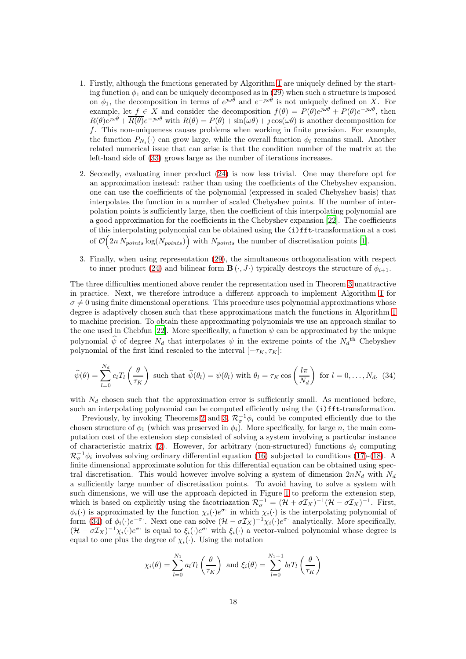- 1. Firstly, although the functions generated by Algorithm [1](#page-13-1) are uniquely defined by the starting function  $\phi_1$  and can be uniquely decomposed as in [\(29\)](#page-15-1) when such a structure is imposed on  $\phi_1$ , the decomposition in terms of  $e^{j\omega\theta}$  and  $e^{-j\omega\theta}$  is not uniquely defined on X. For example, let  $f \in X$  and consider the decomposition  $f(\theta) = P(\theta)e^{j\omega\theta} + \overline{P(\theta)}e^{-j\omega\theta}$ , then  $R(\theta)e^{j\omega\theta} + \overline{R(\theta)}e^{-j\omega\theta}$  with  $R(\theta) = P(\theta) + \sin(\omega\theta) + j\cos(\omega\theta)$  is another decomposition for f. This non-uniqueness causes problems when working in finite precision. For example, the function  $P_{N_i}(\cdot)$  can grow large, while the overall function  $\phi_i$  remains small. Another related numerical issue that can arise is that the condition number of the matrix at the left-hand side of [\(33\)](#page-16-1) grows large as the number of iterations increases.
- 2. Secondly, evaluating inner product [\(24\)](#page-12-0) is now less trivial. One may therefore opt for an approximation instead: rather than using the coefficients of the Chebyshev expansion, one can use the coefficients of the polynomial (expressed in scaled Chebyshev basis) that interpolates the function in a number of scaled Chebyshev points. If the number of interpolation points is sufficiently large, then the coefficient of this interpolating polynomial are a good approximation for the coefficients in the Chebyshev expansion [\[22\]](#page-24-19). The coefficients of this interpolating polynomial can be obtained using the (i)fft-transformation at a cost of  $\mathcal{O}\left(2n N_{points}\log(N_{points})\right)$  with  $N_{points}$  the number of discretisation points [\[1\]](#page-23-3).
- 3. Finally, when using representation [\(29\)](#page-15-1), the simultaneous orthogonalisation with respect to inner product [\(24\)](#page-12-0) and bilinear form  $\mathbf{B}(\cdot, J\cdot)$  typically destroys the structure of  $\phi_{i+1}$ .

The three difficulties mentioned above render the representation used in Theorem [3](#page-15-2) unattractive in practice. Next, we therefore introduce a different approach to implement Algorithm [1](#page-13-1) for  $\sigma \neq 0$  using finite dimensional operations. This procedure uses polynomial approximations whose degree is adaptively chosen such that these approximations match the functions in Algorithm [1](#page-13-1) to machine precision. To obtain these approximating polynomials we use an approach similar to the one used in Chebfun [\[22\]](#page-24-19). More specifically, a function  $\psi$  can be approximated by the unique polynomial  $\hat{\psi}$  of degree  $N_d$  that interpolates  $\psi$  in the extreme points of the  $N_d$ <sup>th</sup> Chebyshev polynomial of the first kind rescaled to the interval  $[-\tau_K, \tau_K]$ :

<span id="page-17-0"></span>
$$
\widehat{\psi}(\theta) = \sum_{l=0}^{N_d} c_l T_l \left(\frac{\theta}{\tau_K}\right) \text{ such that } \widehat{\psi}(\theta_l) = \psi(\theta_l) \text{ with } \theta_l = \tau_K \cos\left(\frac{l\pi}{N_d}\right) \text{ for } l = 0, \dots, N_d, (34)
$$

with  $N_d$  chosen such that the approximation error is sufficiently small. As mentioned before, such an interpolating polynomial can be computed efficiently using the (i)fft-transformation.

Previously, by invoking Theorems [2](#page-13-2) and [3,](#page-15-2)  $\mathcal{R}_{\sigma}^{-1}\phi_i$  could be computed efficiently due to the chosen structure of  $\phi_1$  (which was preserved in  $\phi_i$ ). More specifically, for large n, the main computation cost of the extension step consisted of solving a system involving a particular instance of characteristic matrix [\(2\)](#page-0-1). However, for arbitrary (non-structured) functions  $\phi_i$  computing  $\mathcal{R}_{\sigma}^{-1}\phi_i$  involves solving ordinary differential equation [\(16\)](#page-8-5) subjected to conditions [\(17\)](#page-8-1)-[\(18\)](#page-8-2). A finite dimensional approximate solution for this differential equation can be obtained using spectral discretisation. This would however involve solving a system of dimension  $2nN_d$  with  $N_d$ a sufficiently large number of discretisation points. To avoid having to solve a system with such dimensions, we will use the approach depicted in Figure [1](#page-19-2) to preform the extension step, which is based on explicitly using the facotriazation  $\mathcal{R}_{\sigma}^{-1} = (\mathcal{H} + \sigma \mathcal{I}_X)^{-1}(\mathcal{H} - \sigma \mathcal{I}_X)^{-1}$ . First,  $\phi_i(\cdot)$  is approximated by the function  $\chi_i(\cdot)e^{\sigma_i}$  in which  $\chi_i(\cdot)$  is the interpolating polynomial of form [\(34\)](#page-17-0) of  $\phi_i(\cdot)e^{-\sigma}$ . Next one can solve  $(\mathcal{H}-\sigma \mathcal{I}_X)^{-1}\chi_i(\cdot)e^{\sigma}$  analytically. More specifically,  $(\mathcal{H}-\sigma \mathcal{I}_X)^{-1}\chi_i(\cdot)e^{\sigma}\right)$  is equal to  $\xi_i(\cdot)e^{\sigma}\right)$  with  $\xi_i(\cdot)$  a vector-valued polynomial whose degree is equal to one plus the degree of  $\chi_i(\cdot)$ . Using the notation

$$
\chi_i(\theta) = \sum_{l=0}^{N_1} a_l T_l \left(\frac{\theta}{\tau_K}\right) \text{ and } \xi_i(\theta) = \sum_{l=0}^{N_1+1} b_l T_l \left(\frac{\theta}{\tau_K}\right)
$$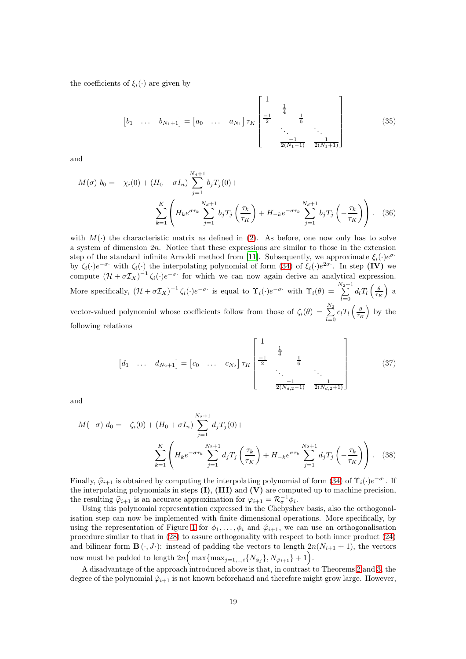the coefficients of  $\xi_i(\cdot)$  are given by

<span id="page-18-1"></span><span id="page-18-0"></span>
$$
\begin{bmatrix} b_1 & \dots & b_{N_1+1} \end{bmatrix} = \begin{bmatrix} a_0 & \dots & a_{N_1} \end{bmatrix} \tau_K \begin{bmatrix} 1 & & & & \\ \frac{-1}{2} & \frac{1}{4} & & & \\ & \ddots & & \ddots & \\ & & \frac{-1}{2(N_1-1)} & \frac{1}{2(N_1+1)} \end{bmatrix} \tag{35}
$$

and

$$
M(\sigma) b_0 = -\chi_i(0) + (H_0 - \sigma I_n) \sum_{j=1}^{N_d+1} b_j T_j(0) +
$$
  

$$
\sum_{k=1}^K \left( H_k e^{\sigma \tau_k} \sum_{j=1}^{N_d+1} b_j T_j \left( \frac{\tau_k}{\tau_K} \right) + H_{-k} e^{-\sigma \tau_k} \sum_{j=1}^{N_d+1} b_j T_j \left( -\frac{\tau_k}{\tau_K} \right) \right).
$$
 (36)

with  $M(\cdot)$  the characteristic matrix as defined in [\(2\)](#page-0-1). As before, one now only has to solve a system of dimension 2n. Notice that these expressions are similar to those in the extension step of the standard infinite Arnoldi method from [\[11](#page-24-12)]. Subsequently, we approximate  $\xi_i(\cdot)e^{\sigma \cdot \tau}$ by  $\zeta_i(\cdot)e^{-\sigma}$  with  $\zeta_i(\cdot)$  the interpolating polynomial of form [\(34\)](#page-17-0) of  $\xi_i(\cdot)e^{2\sigma}$ . In step (IV) we compute  $(\mathcal{H} + \sigma \mathcal{I}_X)^{-1} \zeta_i(\cdot) e^{-\sigma}$  for which we can now again derive an analytical expression. More specifically,  $(\mathcal{H} + \sigma \mathcal{I}_X)^{-1} \zeta_i(\cdot) e^{-\sigma \cdot}$  is equal to  $\Upsilon_i(\cdot) e^{-\sigma \cdot}$  with  $\Upsilon_i(\theta) = \sum_{i=1}^{N_2+1}$  $\sum_{l=0}^{\sqrt{2}+1} d_l T_l \left(\frac{\theta}{\tau_K}\right)$  $\big)$  a vector-valued polynomial whose coefficients follow from those of  $\zeta_i(\theta) = \sum_{n=1}^{N_2}$  $\sum_{l=0}^{N_2} c_l T_l \left(\frac{\theta}{\tau_K}\right)$  by the following relations

<span id="page-18-3"></span><span id="page-18-2"></span>
$$
\begin{bmatrix} d_1 & \dots & d_{N_2+1} \end{bmatrix} = \begin{bmatrix} c_0 & \dots & c_{N_2} \end{bmatrix} \tau_K \begin{bmatrix} 1 & & & & \\ \frac{-1}{2} & \frac{1}{4} & & & \\ & \ddots & & \ddots & \\ & & \ddots & & \\ & & \frac{-1}{2(N_{d,2}-1)} & \frac{1}{2(N_{d,2}+1)} \end{bmatrix} \tag{37}
$$

and

$$
M(-\sigma) d_0 = -\zeta_i(0) + (H_0 + \sigma I_n) \sum_{j=1}^{N_2+1} d_j T_j(0) +
$$
  

$$
\sum_{k=1}^K \left( H_k e^{-\sigma \tau_k} \sum_{j=1}^{N_2+1} d_j T_j \left( \frac{\tau_k}{\tau_K} \right) + H_{-k} e^{\sigma \tau_k} \sum_{j=1}^{N_2+1} d_j T_j \left( -\frac{\tau_k}{\tau_K} \right) \right).
$$
 (38)

Finally,  $\hat{\varphi}_{i+1}$  is obtained by computing the interpolating polynomial of form [\(34\)](#page-17-0) of  $\Upsilon_i(\cdot)e^{-\sigma}$ . If the interpolating polynomials in steps  $(I)$ ,  $(III)$  and  $(V)$  are computed up to machine precision, the resulting  $\hat{\varphi}_{i+1}$  is an accurate approximation for  $\varphi_{i+1} = \mathcal{R}_{\sigma}^{-1} \phi_i$ .

Using this polynomial representation expressed in the Chebyshev basis, also the orthogonalisation step can now be implemented with finite dimensional operations. More specifically, by using the representation of Figure [1](#page-19-2) for  $\phi_1, \ldots, \phi_i$  and  $\hat{\varphi}_{i+1}$ , we can use an orthogonalisation procedure similar to that in [\(28\)](#page-15-3) to assure orthogonality with respect to both inner product [\(24\)](#page-12-0) and bilinear form  $\mathbf{B}(\cdot, J \cdot)$ : instead of padding the vectors to length  $2n(N_{i+1} + 1)$ , the vectors now must be padded to length  $2n\left(\max\{\max_{j=1,\ldots,i}\{N_{\phi_j}\},N_{\hat{\varphi}_{i+1}}\}+1\right)$ .

A disadvantage of the approach introduced above is that, in contrast to Theorems [2](#page-13-2) and [3,](#page-15-2) the degree of the polynomial  $\hat{\varphi}_{i+1}$  is not known beforehand and therefore might grow large. However,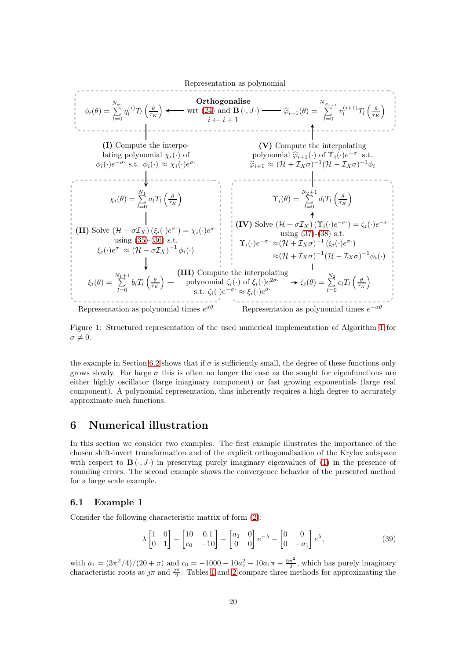<span id="page-19-2"></span>Representation as polynomial  
\n
$$
φ_i(\theta) = \sum_{l=0}^{N_{\phi_i}} q_l^{(i)} T_l \left(\frac{\theta}{\tau_K}\right)
$$
\n
$$
φ_i(\theta) = \sum_{l=0}^{N_{\phi_i}} q_l^{(i)} T_l \left(\frac{\theta}{\tau_K}\right)
$$
\n(1) Compute the interpo-  
\nlating polynomial  $\chi_i(\cdot)$  of  
\n $φ_i(\cdot) e^{-\sigma}$ : st.  $φ_i(\cdot) \approx \chi_i(\cdot) e^{\sigma}$   
\n $φ_i(\cdot) e^{-\sigma}$ : st.  $φ_i(\cdot) \approx \chi_i(\cdot) e^{\sigma}$   
\n $φ_i(\cdot) e^{-\sigma}$ : st.  $φ_i(\cdot) \approx \chi_i(\cdot) e^{\sigma}$   
\n $φ_i(\cdot) e^{-\sigma}$ : st.  $φ_i(\cdot) \approx \chi_i(\cdot) e^{\sigma}$   
\n $φ_i(\theta) = \sum_{l=0}^{N_1} a_l T_l \left(\frac{\theta}{\tau_K}\right)$   
\n $χ_i(\theta) = \sum_{l=0}^{N_1} a_l T_l \left(\frac{\theta}{\tau_K}\right)$   
\n $γ_i(\theta) = \sum_{l=0}^{N_2+1} d_l T_l \left(\frac{\theta}{\tau_K}\right)$   
\n $γ_i(\theta) = \sum_{l=0}^{N_2+1} d_l T_l \left(\frac{\theta}{\tau_K}\right)$   
\n $γ_i(\theta) = \sum_{l=0}^{N_2+1} d_l T_l \left(\frac{\theta}{\tau_K}\right)$   
\n $γ_i(\theta) = \sum_{l=0}^{N_2+1} d_l T_l \left(\frac{\theta}{\tau_K}\right)$   
\n $φ_i(\theta) = \sum_{l=0}^{N_1} a_l T_l \left(\frac{\theta}{\tau_K}\right)$   
\n $φ_i(\theta) = \sum_{l=0}^{N_1+1} b_l T_l \left(\frac{\theta}{\tau_K}\right)$   
\n $φ_i(\theta) = \sum_{l=0}^{N_1+1} b_l T_l \left(\frac{\theta}{\tau_K}\right)$   
\n $φ_i(\theta) = \sum_{l=0}^{N_1+1} b_l T_l \left(\frac{\theta}{\tau_K}\right)$   
\n $φ_i(\theta) = \sum_{$ 

Figure 1: Structured representation of the used numerical implementation of Algorithm [1](#page-13-1) for  $\sigma \neq 0.$ 

the example in Section [6.2](#page-21-1) shows that if  $\sigma$  is sufficiently small, the degree of these functions only grows slowly. For large  $\sigma$  this is often no longer the case as the sought for eigenfunctions are either highly oscillator (large imaginary component) or fast growing exponentials (large real component). A polynomial representation, thus inherently requires a high degree to accurately approximate such functions.

### <span id="page-19-0"></span>6 Numerical illustration

In this section we consider two examples. The first example illustrates the importance of the chosen shift-invert transformation and of the explicit orthogonalisation of the Krylov subspace with respect to  $\mathbf{B}(\cdot, J\cdot)$  in preserving purely imaginary eigenvalues of [\(1\)](#page-0-0) in the presence of rounding errors. The second example shows the convergence behavior of the presented method for a large scale example.

#### <span id="page-19-1"></span>6.1 Example 1

Consider the following characteristic matrix of form [\(2\)](#page-0-1):

<span id="page-19-3"></span>
$$
\lambda \begin{bmatrix} 1 & 0 \\ 0 & 1 \end{bmatrix} - \begin{bmatrix} 10 & 0.1 \\ c_0 & -10 \end{bmatrix} - \begin{bmatrix} a_1 & 0 \\ 0 & 0 \end{bmatrix} e^{-\lambda} - \begin{bmatrix} 0 & 0 \\ 0 & -a_1 \end{bmatrix} e^{\lambda}, \tag{39}
$$

with  $a_1 = (3\pi^2/4)/(20 + \pi)$  and  $c_0 = -1000 - 10a_1^2 - 10a_1\pi - \frac{5\pi^2}{2}$  $\frac{\pi^2}{2}$ , which has purely imaginary characteristic roots at  $\pi$  and  $\frac{\pi}{2}$ . Tables [1](#page-20-0) and [2](#page-21-2) compare three methods for approximating the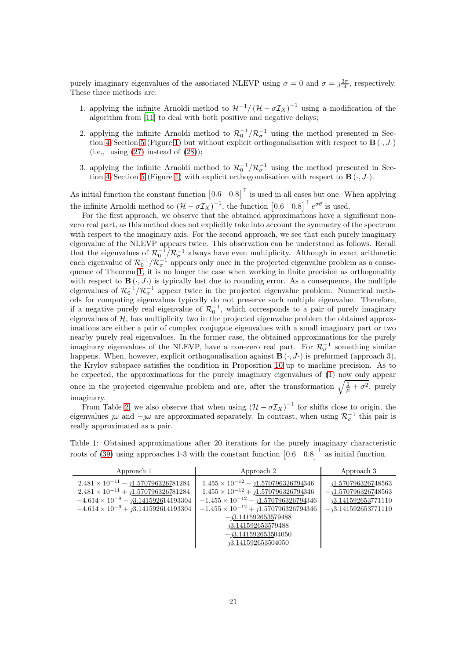purely imaginary eigenvalues of the associated NLEVP using  $\sigma = 0$  and  $\sigma = \gamma \frac{3\pi}{4}$ , respectively. These three methods are:

- 1. applying the infinite Arnoldi method to  $\mathcal{H}^{-1}/(\mathcal{H}-\sigma \mathcal{I}_X)^{-1}$  using a modification of the algorithm from [\[11](#page-24-12)] to deal with both positive and negative delays;
- 2. applying the infinite Arnoldi method to  $\mathcal{R}_0^{-1}/\mathcal{R}_{\sigma}^{-1}$  using the method presented in Sec-tion [4/](#page-13-0)Section [5](#page-15-0) (Figure [1\)](#page-19-2) but without explicit orthogonalisation with respect to  $\mathbf{B}(\cdot, J\cdot)$ (i.e., using  $(27)$  instead of  $(28)$ );
- 3. applying the infinite Arnoldi method to  $\mathcal{R}_0^{-1}/\mathcal{R}_{\sigma}^{-1}$  using the method presented in Sec-tion [4/](#page-13-0)Section [5](#page-15-0) (Figure [1\)](#page-19-2) with explicit orthogonalisation with respect to  $\mathbf{B}(\cdot, J \cdot)$ .

As initial function the constant function  $\begin{bmatrix} 0.6 & 0.8 \end{bmatrix}^{\top}$  is used in all cases but one. When applying the infinite Arnoldi method to  $(\mathcal{H} - \sigma \mathcal{I}_X)^{-1}$ , the function  $\begin{bmatrix} 0.6 & 0.8 \end{bmatrix}^{\top} e^{\sigma \theta}$  is used.

For the first approach, we observe that the obtained approximations have a significant nonzero real part, as this method does not explicitly take into account the symmetry of the spectrum with respect to the imaginary axis. For the second approach, we see that each purely imaginary eigenvalue of the NLEVP appears twice. This observation can be understood as follows. Recall that the eigenvalues of  $\mathcal{R}_0^{-1}/\mathcal{R}_{\sigma}^{-1}$  always have even multiplicity. Although in exact arithmetic each eigenvalue of  $\mathcal{R}_0^{-1}/\mathcal{R}_{\sigma}^{-1}$  appears only once in the projected eigenvalue problem as a consequence of Theorem [1,](#page-11-1) it is no longer the case when working in finite precision as orthogonality with respect to  $\mathbf{B}(\cdot, J \cdot)$  is typically lost due to rounding error. As a consequence, the multiple eigenvalues of  $\mathcal{R}_0^{-1}/\mathcal{R}_{\sigma}^{-1}$  appear twice in the projected eigenvalue problem. Numerical methods for computing eigenvalues typically do not preserve such multiple eigenvalue. Therefore, if a negative purely real eigenvalue of  $\mathcal{R}_0^{-1}$ , which corresponds to a pair of purely imaginary eigenvalues of  $H$ , has multiplicity two in the projected eigenvalue problem the obtained approximations are either a pair of complex conjugate eigenvalues with a small imaginary part or two nearby purely real eigenvalues. In the former case, the obtained approximations for the purely imaginary eigenvalues of the NLEVP, have a non-zero real part. For  $\mathcal{R}_{\sigma}^{-1}$  something similar happens. When, however, explicit orthogonalisation against  $\mathbf{B}(\cdot, J \cdot)$  is preformed (approach 3), the Krylov subspace satisfies the condition in Proposition [10](#page-11-0) up to machine precision. As to be expected, the approximations for the purely imaginary eigenvalues of [\(1\)](#page-0-0) now only appear once in the projected eigenvalue problem and are, after the transformation  $\sqrt{\frac{1}{\mu} + \sigma^2}$ , purely imaginary.

From Table [2,](#page-21-2) we also observe that when using  $(\mathcal{H} - \sigma \mathcal{I}_X)^{-1}$  for shifts close to origin, the eigenvalues  $\jmath\omega$  and  $-\jmath\omega$  are approximated separately. In contrast, when using  $\mathcal{R}_{\sigma}^{-1}$  this pair is really approximated as a pair.

<span id="page-20-0"></span>Table 1: Obtained approximations after 20 iterations for the purely imaginary characteristic roots of [\(39\)](#page-19-3) using approaches 1-3 with the constant function  $\begin{bmatrix} 0.6 & 0.8 \end{bmatrix}^{\top}$  as initial function.

| Approach 1                                                                                                                                                                                            | Approach 2                                                                                                                                                                                                                                                                      | Approach 3                                                                                          |
|-------------------------------------------------------------------------------------------------------------------------------------------------------------------------------------------------------|---------------------------------------------------------------------------------------------------------------------------------------------------------------------------------------------------------------------------------------------------------------------------------|-----------------------------------------------------------------------------------------------------|
| $2.481 \times 10^{-11} - 1.570796326781284$<br>$2.481 \times 10^{-11} + \underline{J1.570796326781284}$<br>$-4.614 \times 10^{-9} - 3.141592614193304$<br>$-4.614 \times 10^{-9} + 3.141592614193304$ | $1.455 \times 10^{-12} - 1.570796326794346$<br>$1.455 \times 10^{-12} + \underline{11.570796326794346}$<br>$-1.455 \times 10^{-12} - 1.570796326794346$<br>$-1.455 \times 10^{-12} + 1.570796326794346$<br>$-73.141592653579488$<br>13.141592653579488<br>$-13.141592653504050$ | 11.570796326748563<br>$-11.570796326748563$<br><u> 13.141592653</u> 771110<br>$-j3.141592653771110$ |
|                                                                                                                                                                                                       | <i>1</i> 3.141592653504050                                                                                                                                                                                                                                                      |                                                                                                     |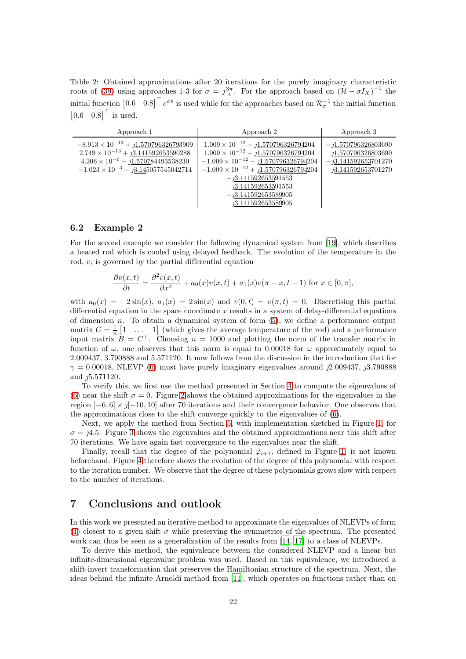<span id="page-21-2"></span>Table 2: Obtained approximations after 20 iterations for the purely imaginary characteristic roots of [\(39\)](#page-19-3) using approaches 1-3 for  $\sigma = \frac{3\pi}{4}$ . For the approach based on  $(\mathcal{H} - \sigma I_X)^{-1}$  the initial function  $[0.6 \quad 0.8]$ <sup>T</sup>  $e^{\sigma \theta}$  is used while for the approaches based on  $\mathcal{R}_{\sigma}^{-1}$  the initial function  $\begin{bmatrix} 0.6 & 0.8 \end{bmatrix}^{\top}$  is used.

| Approach 1                                                                                                                                                                                            | Approach 2                                                                                                                                                                                                                                                                                            | Approach 3                                                                                       |
|-------------------------------------------------------------------------------------------------------------------------------------------------------------------------------------------------------|-------------------------------------------------------------------------------------------------------------------------------------------------------------------------------------------------------------------------------------------------------------------------------------------------------|--------------------------------------------------------------------------------------------------|
| $-8.913 \times 10^{-13} + 1.570796326793909$<br>$2.749 \times 10^{-13} + \underline{33.1415926535}90288$<br>$4.206 \times 10^{-6} - 1.570784493538230$<br>$-1.023 \times 10^{-3} - 3.145057545042714$ | $1.009 \times 10^{-12} - 1.570796326794204$<br>$1.009 \times 10^{-12} + \underline{j1.570796326794}204$<br>$-1.009 \times 10^{-12} - 1.570796326794204$<br>$-1.009 \times 10^{-12} + 1.570796326794204$<br>$-13.141592653591553$<br>13.141592653591553<br>$-13.141592653589905$<br>73.141592653589905 | $-1.570796326803690$<br>1.570796326803690<br>$-13.141592653701270$<br><i>n</i> 3.141592653701270 |

#### <span id="page-21-1"></span>6.2 Example 2

For the second example we consider the following dynamical system from [\[19\]](#page-24-20), which describes a heated rod which is cooled using delayed feedback. The evolution of the temperature in the rod, v, is governed by the partial differential equation

$$
\frac{\partial v(x,t)}{\partial t} = \frac{\partial^2 v(x,t)}{\partial x^2} + a_0(x)v(x,t) + a_1(x)v(\pi - x, t - 1) \text{ for } x \in [0, \pi],
$$

with  $a_0(x) = -2\sin(x)$ ,  $a_1(x) = 2\sin(x)$  and  $v(0,t) = v(\pi, t) = 0$ . Discretising this partial differential equation in the space coordinate  $x$  results in a system of delay-differential equations of dimension  $n$ . To obtain a dynamical system of form  $(5)$ , we define a performance output matrix  $C = \frac{1}{n} \begin{bmatrix} 1 & \dots & 1 \end{bmatrix}$  (which gives the average temperature of the rod) and a performance input matrix  $B = C^{\top}$ . Choosing  $n = 1000$  and plotting the norm of the transfer matrix in function of  $\omega$ , one observes that this norm is equal to 0.00018 for  $\omega$  approximately equal to 2.009437, 3.790888 and 5.571120. It now follows from the discussion in the introduction that for  $\gamma = 0.00018$ , NLEVP [\(6\)](#page-1-1) must have purely imaginary eigenvalues around  $j2.009437$ ,  $j3.790888$ and  $j5.571120$ .

To verify this, we first use the method presented in Section [4](#page-13-0) to compute the eigenvalues of [\(6\)](#page-1-1) near the shift  $\sigma = 0$ . Figure [2](#page-22-0) shows the obtained approximations for the eigenvalues in the region  $[-6, 6] \times \mathcal{J}[-10, 10]$  after 70 iterations and their convergence behavior. One observes that the approximations close to the shift converge quickly to the eigenvalues of [\(6\)](#page-1-1).

Next, we apply the method from Section [5,](#page-15-0) with implementation sketched in Figure [1,](#page-19-2) for  $\sigma = \mu/4.5$ . Figure [3](#page-22-1) shows the eigenvalues and the obtained approximations near this shift after 70 iterations. We have again fast convergence to the eigenvalues near the shift.

Finally, recall that the degree of the polynomial  $\hat{\varphi}_{i+1}$ , defined in Figure [1,](#page-19-2) is not known beforehand. Figure [4](#page-23-4) therefore shows the evolution of the degree of this polynomial with respect to the iteration number. We observe that the degree of these polynomials grows slow with respect to the number of iterations.

### <span id="page-21-0"></span>7 Conclusions and outlook

In this work we presented an iterative method to approximate the eigenvalues of NLEVPs of form [\(1\)](#page-0-0) closest to a given shift  $\sigma$  while preserving the symmetries of the spectrum. The presented work can thus be seen as a generalization of the results from [\[14](#page-24-16), [17](#page-24-7)] to a class of NLEVPs.

To derive this method, the equivalence between the considered NLEVP and a linear but infinite-dimensional eigenvalue problem was used. Based on this equivalence, we introduced a shift-invert transformation that preserves the Hamiltonian structure of the spectrum. Next, the ideas behind the infinite Arnoldi method from [\[11\]](#page-24-12), which operates on functions rather than on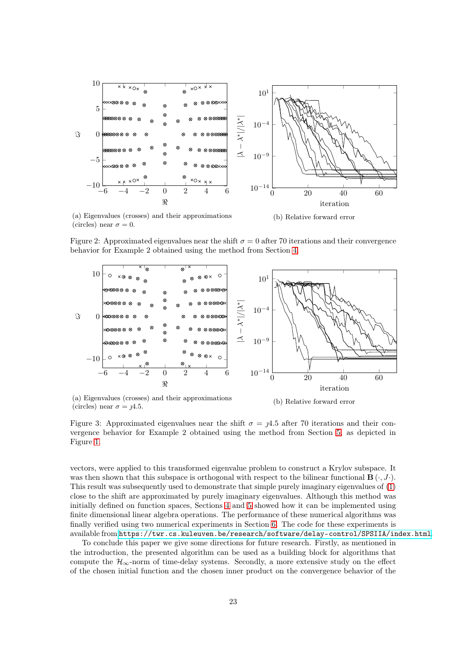<span id="page-22-0"></span>

(circles) near  $\sigma = 0$ .

Figure 2: Approximated eigenvalues near the shift  $\sigma = 0$  after 70 iterations and their convergence behavior for Example 2 obtained using the method from Section [4.](#page-13-0)

<span id="page-22-1"></span>

(a) Eigenvalues (crosses) and their approximations (circles) near  $\sigma = \mu/4.5$ .

(b) Relative forward error

Figure 3: Approximated eigenvalues near the shift  $\sigma = 1/4.5$  after 70 iterations and their convergence behavior for Example 2 obtained using the method from Section [5,](#page-15-0) as depicted in Figure [1.](#page-19-2)

vectors, were applied to this transformed eigenvalue problem to construct a Krylov subspace. It was then shown that this subspace is orthogonal with respect to the bilinear functional  $\mathbf{B}(\cdot, J \cdot)$ . This result was subsequently used to demonstrate that simple purely imaginary eigenvalues of [\(1\)](#page-0-0) close to the shift are approximated by purely imaginary eigenvalues. Although this method was initially defined on function spaces, Sections [4](#page-13-0) and [5](#page-15-0) showed how it can be implemented using finite dimensional linear algebra operations. The performance of these numerical algorithms was finally verified using two numerical experiments in Section [6.](#page-19-0) The code for these experiments is available from <https://twr.cs.kuleuven.be/research/software/delay-control/SPSIIA/index.html>.

To conclude this paper we give some directions for future research. Firstly, as mentioned in the introduction, the presented algorithm can be used as a building block for algorithms that compute the  $\mathcal{H}_{\infty}$ -norm of time-delay systems. Secondly, a more extensive study on the effect of the chosen initial function and the chosen inner product on the convergence behavior of the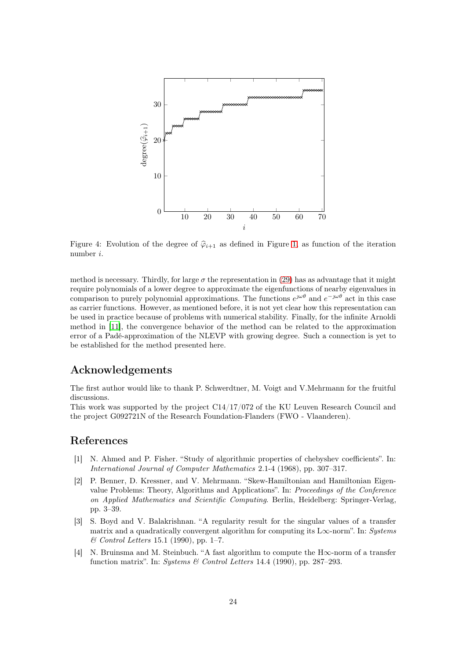<span id="page-23-4"></span>

Figure 4: Evolution of the degree of  $\hat{\varphi}_{i+1}$  as defined in Figure [1,](#page-19-2) as function of the iteration number i.

method is necessary. Thirdly, for large  $\sigma$  the representation in [\(29\)](#page-15-1) has as advantage that it might require polynomials of a lower degree to approximate the eigenfunctions of nearby eigenvalues in comparison to purely polynomial approximations. The functions  $e^{j\omega\theta}$  and  $e^{-j\omega\theta}$  act in this case as carrier functions. However, as mentioned before, it is not yet clear how this representation can be used in practice because of problems with numerical stability. Finally, for the infinite Arnoldi method in [\[11\]](#page-24-12), the convergence behavior of the method can be related to the approximation error of a Padé-approximation of the NLEVP with growing degree. Such a connection is yet to be established for the method presented here.

### Acknowledgements

The first author would like to thank P. Schwerdtner, M. Voigt and V.Mehrmann for the fruitful discussions.

This work was supported by the project C14/17/072 of the KU Leuven Research Council and the project G092721N of the Research Foundation-Flanders (FWO - Vlaanderen).

### <span id="page-23-3"></span>References

- [1] N. Ahmed and P. Fisher. "Study of algorithmic properties of chebyshev coefficients". In: International Journal of Computer Mathematics 2.1-4 (1968), pp. 307–317.
- <span id="page-23-2"></span>[2] P. Benner, D. Kressner, and V. Mehrmann. "Skew-Hamiltonian and Hamiltonian Eigenvalue Problems: Theory, Algorithms and Applications". In: Proceedings of the Conference on Applied Mathematics and Scientific Computing. Berlin, Heidelberg: Springer-Verlag, pp. 3–39.
- <span id="page-23-0"></span>[3] S. Boyd and V. Balakrishnan. "A regularity result for the singular values of a transfer matrix and a quadratically convergent algorithm for computing its L $\infty$ -norm". In: Systems & Control Letters 15.1 (1990), pp. 1–7.
- <span id="page-23-1"></span>[4] N. Bruinsma and M. Steinbuch. "A fast algorithm to compute the H∞-norm of a transfer function matrix". In: Systems & Control Letters 14.4 (1990), pp. 287–293.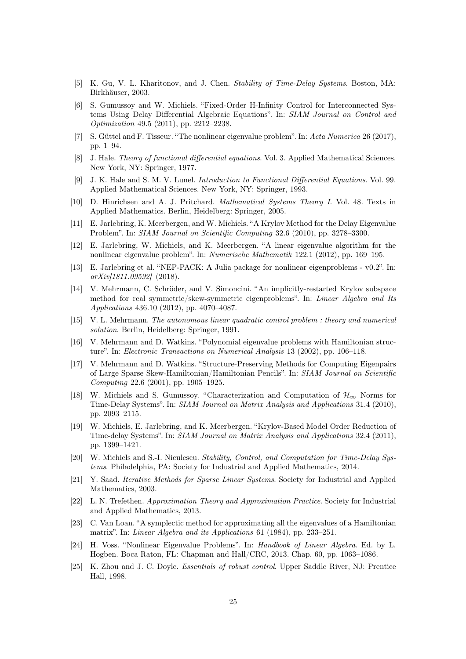- <span id="page-24-4"></span>[5] K. Gu, V. L. Kharitonov, and J. Chen. Stability of Time-Delay Systems. Boston, MA: Birkhäuser, 2003.
- <span id="page-24-2"></span>[6] S. Gumussoy and W. Michiels. "Fixed-Order H-Infinity Control for Interconnected Systems Using Delay Differential Algebraic Equations". In: SIAM Journal on Control and Optimization 49.5 (2011), pp. 2212–2238.
- <span id="page-24-11"></span>[7] S. Güttel and F. Tisseur. "The nonlinear eigenvalue problem". In: Acta Numerica 26 (2017), pp. 1–94.
- <span id="page-24-18"></span>[8] J. Hale. Theory of functional differential equations. Vol. 3. Applied Mathematical Sciences. New York, NY: Springer, 1977.
- <span id="page-24-5"></span>[9] J. K. Hale and S. M. V. Lunel. Introduction to Functional Differential Equations. Vol. 99. Applied Mathematical Sciences. New York, NY: Springer, 1993.
- <span id="page-24-0"></span>[10] D. Hinrichsen and A. J. Pritchard. Mathematical Systems Theory I. Vol. 48. Texts in Applied Mathematics. Berlin, Heidelberg: Springer, 2005.
- <span id="page-24-12"></span>[11] E. Jarlebring, K. Meerbergen, and W. Michiels. "A Krylov Method for the Delay Eigenvalue Problem". In: SIAM Journal on Scientific Computing 32.6 (2010), pp. 3278–3300.
- <span id="page-24-13"></span>[12] E. Jarlebring, W. Michiels, and K. Meerbergen. "A linear eigenvalue algorithm for the nonlinear eigenvalue problem". In: Numerische Mathematik 122.1 (2012), pp. 169–195.
- <span id="page-24-14"></span>[13] E. Jarlebring et al. "NEP-PACK: A Julia package for nonlinear eigenproblems - v0.2". In: arXiv[1811.09592] (2018).
- <span id="page-24-16"></span>[14] V. Mehrmann, C. Schröder, and V. Simoncini. "An implicitly-restarted Krylov subspace method for real symmetric/skew-symmetric eigenproblems". In: Linear Algebra and Its Applications 436.10 (2012), pp. 4070–4087.
- <span id="page-24-9"></span>[15] V. L. Mehrmann. The autonomous linear quadratic control problem : theory and numerical solution. Berlin, Heidelberg: Springer, 1991.
- <span id="page-24-17"></span>[16] V. Mehrmann and D. Watkins. "Polynomial eigenvalue problems with Hamiltonian structure". In: Electronic Transactions on Numerical Analysis 13 (2002), pp. 106–118.
- <span id="page-24-7"></span>[17] V. Mehrmann and D. Watkins. "Structure-Preserving Methods for Computing Eigenpairs of Large Sparse Skew-Hamiltonian/Hamiltonian Pencils". In: SIAM Journal on Scientific Computing 22.6 (2001), pp. 1905–1925.
- <span id="page-24-3"></span>[18] W. Michiels and S. Gumussoy. "Characterization and Computation of  $\mathcal{H}_{\infty}$  Norms for Time-Delay Systems". In: SIAM Journal on Matrix Analysis and Applications 31.4 (2010), pp. 2093–2115.
- <span id="page-24-20"></span>[19] W. Michiels, E. Jarlebring, and K. Meerbergen. "Krylov-Based Model Order Reduction of Time-delay Systems". In: SIAM Journal on Matrix Analysis and Applications 32.4 (2011), pp. 1399–1421.
- <span id="page-24-6"></span>[20] W. Michiels and S.-I. Niculescu. Stability, Control, and Computation for Time-Delay Systems. Philadelphia, PA: Society for Industrial and Applied Mathematics, 2014.
- <span id="page-24-10"></span>[21] Y. Saad. Iterative Methods for Sparse Linear Systems. Society for Industrial and Applied Mathematics, 2003.
- <span id="page-24-19"></span>[22] L. N. Trefethen. Approximation Theory and Approximation Practice. Society for Industrial and Applied Mathematics, 2013.
- <span id="page-24-8"></span>[23] C. Van Loan. "A symplectic method for approximating all the eigenvalues of a Hamiltonian matrix". In: Linear Algebra and its Applications 61 (1984), pp. 233–251.
- <span id="page-24-15"></span>[24] H. Voss. "Nonlinear Eigenvalue Problems". In: Handbook of Linear Algebra. Ed. by L. Hogben. Boca Raton, FL: Chapman and Hall/CRC, 2013. Chap. 60, pp. 1063–1086.
- <span id="page-24-1"></span>[25] K. Zhou and J. C. Doyle. Essentials of robust control. Upper Saddle River, NJ: Prentice Hall, 1998.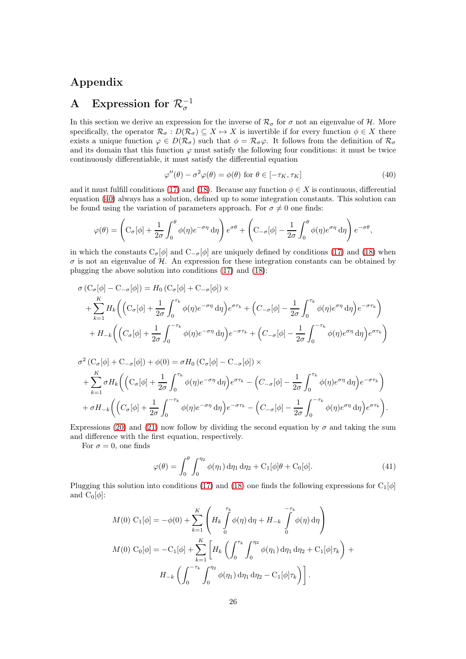## Appendix

# <span id="page-25-0"></span>A Expression for  $\mathcal{R}_{\sigma}^{-1}$

In this section we derive an expression for the inverse of  $\mathcal{R}_{\sigma}$  for  $\sigma$  not an eigenvalue of H. More specifically, the operator  $\mathcal{R}_{\sigma}: D(\mathcal{R}_{\sigma}) \subseteq X \mapsto X$  is invertible if for every function  $\phi \in X$  there exists a unique function  $\varphi \in D(\mathcal{R}_{\sigma})$  such that  $\phi = \mathcal{R}_{\sigma}\varphi$ . It follows from the definition of  $\mathcal{R}_{\sigma}$ and its domain that this function  $\varphi$  must satisfy the following four conditions: it must be twice continuously differentiable, it must satisfy the differential equation

<span id="page-25-1"></span>
$$
\varphi''(\theta) - \sigma^2 \varphi(\theta) = \phi(\theta) \text{ for } \theta \in [-\tau_K, \tau_K]
$$
\n(40)

and it must fulfill conditions [\(17\)](#page-8-1) and [\(18\)](#page-8-2). Because any function  $\phi \in X$  is continuous, differential equation [\(40\)](#page-25-1) always has a solution, defined up to some integration constants. This solution can be found using the variation of parameters approach. For  $\sigma \neq 0$  one finds:

$$
\varphi(\theta) = \left( \mathcal{C}_{\sigma}[\phi] + \frac{1}{2\sigma} \int_0^{\theta} \phi(\eta) e^{-\sigma \eta} d\eta \right) e^{\sigma \theta} + \left( \mathcal{C}_{-\sigma}[\phi] - \frac{1}{2\sigma} \int_0^{\theta} \phi(\eta) e^{\sigma \eta} d\eta \right) e^{-\sigma \theta},
$$

in which the constants  $C_{\sigma}[\phi]$  and  $C_{-\sigma}[\phi]$  are uniquely defined by conditions [\(17\)](#page-8-1) and [\(18\)](#page-8-2) when  $\sigma$  is not an eigenvalue of H. An expression for these integration constants can be obtained by plugging the above solution into conditions [\(17\)](#page-8-1) and [\(18\)](#page-8-2):

$$
\sigma (C_{\sigma}[\phi] - C_{-\sigma}[\phi]) = H_0 (C_{\sigma}[\phi] + C_{-\sigma}[\phi]) \times
$$
  
+ 
$$
\sum_{k=1}^{K} H_k \Big( \Big( C_{\sigma}[\phi] + \frac{1}{2\sigma} \int_0^{\tau_k} \phi(\eta) e^{-\sigma \eta} d\eta \Big) e^{\sigma \tau_k} + \Big( C_{-\sigma}[\phi] - \frac{1}{2\sigma} \int_0^{\tau_k} \phi(\eta) e^{\sigma \eta} d\eta \Big) e^{-\sigma \tau_k} \Big)
$$
  
+ 
$$
H_{-k} \Big( \Big( C_{\sigma}[\phi] + \frac{1}{2\sigma} \int_0^{-\tau_k} \phi(\eta) e^{-\sigma \eta} d\eta \Big) e^{-\sigma \tau_k} + \Big( C_{-\sigma}[\phi] - \frac{1}{2\sigma} \int_0^{-\tau_k} \phi(\eta) e^{\sigma \eta} d\eta \Big) e^{\sigma \tau_k} \Big)
$$

$$
\sigma^2 (C_{\sigma}[\phi] + C_{-\sigma}[\phi]) + \phi(0) = \sigma H_0 (C_{\sigma}[\phi] - C_{-\sigma}[\phi]) \times \n+ \sum_{k=1}^K \sigma H_k \left( \left( C_{\sigma}[\phi] + \frac{1}{2\sigma} \int_0^{\tau_k} \phi(\eta) e^{-\sigma \eta} d\eta \right) e^{\sigma \tau_k} - \left( C_{-\sigma}[\phi] - \frac{1}{2\sigma} \int_0^{\tau_k} \phi(\eta) e^{\sigma \eta} d\eta \right) e^{-\sigma \tau_k} \right) \n+ \sigma H_{-k} \left( \left( C_{\sigma}[\phi] + \frac{1}{2\sigma} \int_0^{-\tau_k} \phi(\eta) e^{-\sigma \eta} d\eta \right) e^{-\sigma \tau_k} - \left( C_{-\sigma}[\phi] - \frac{1}{2\sigma} \int_0^{-\tau_k} \phi(\eta) e^{\sigma \eta} d\eta \right) e^{\sigma \tau_k} \right).
$$

Expressions [\(20\)](#page-8-4) and [\(21\)](#page-9-0) now follow by dividing the second equation by  $\sigma$  and taking the sum and difference with the first equation, respectively.

For  $\sigma = 0$ , one finds

$$
\varphi(\theta) = \int_0^{\theta} \int_0^{\eta_2} \phi(\eta_1) d\eta_1 d\eta_2 + C_1[\phi]\theta + C_0[\phi]. \tag{41}
$$

Plugging this solution into conditions [\(17\)](#page-8-1) and [\(18\)](#page-8-2) one finds the following expressions for  $C_1[\phi]$ and  $C_0[\phi]$ :

$$
M(0) C_1[\phi] = -\phi(0) + \sum_{k=1}^K \left( H_k \int_0^{\tau_k} \phi(\eta) d\eta + H_{-k} \int_0^{-\tau_k} \phi(\eta) d\eta \right)
$$
  

$$
M(0) C_0[\phi] = -C_1[\phi] + \sum_{k=1}^K \left[ H_k \left( \int_0^{\tau_k} \int_0^{\eta_2} \phi(\eta_1) d\eta_1 d\eta_2 + C_1[\phi] \tau_k \right) + H_{-k} \left( \int_0^{-\tau_k} \int_0^{\eta_2} \phi(\eta_1) d\eta_1 d\eta_2 - C_1[\phi] \tau_k \right) \right].
$$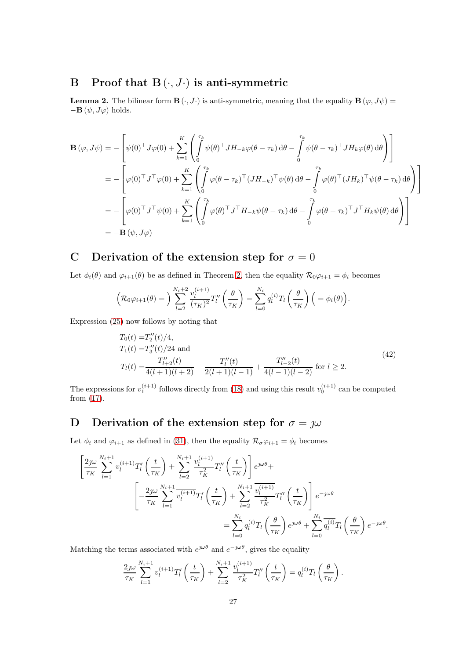# <span id="page-26-0"></span>B Proof that  $B(\cdot, J\cdot)$  is anti-symmetric

**Lemma 2.** The bilinear form  $\mathbf{B}(\cdot, J \cdot)$  is anti-symmetric, meaning that the equality  $\mathbf{B}(\varphi, J\psi) =$  $-\mathbf{B}(\psi, J\varphi)$  holds.

$$
\mathbf{B}(\varphi, J\psi) = -\left[\psi(0)^{\top}J\varphi(0) + \sum_{k=1}^{K} \left( \int_{0}^{\tau_{k}} \psi(\theta)^{\top} J H_{-k}\varphi(\theta - \tau_{k}) d\theta - \int_{0}^{\tau_{k}} \psi(\theta - \tau_{k})^{\top} J H_{k}\varphi(\theta) d\theta \right) \right]
$$
  
\n
$$
= -\left[\varphi(0)^{\top} J^{\top}\varphi(0) + \sum_{k=1}^{K} \left( \int_{0}^{\tau_{k}} \varphi(\theta - \tau_{k})^{\top} (J H_{-k})^{\top} \psi(\theta) d\theta - \int_{0}^{\tau_{k}} \varphi(\theta)^{\top} (J H_{k})^{\top} \psi(\theta - \tau_{k}) d\theta \right) \right]
$$
  
\n
$$
= -\left[\varphi(0)^{\top} J^{\top}\psi(0) + \sum_{k=1}^{K} \left( \int_{0}^{\tau_{k}} \varphi(\theta)^{\top} J^{\top} H_{-k}\psi(\theta - \tau_{k}) d\theta - \int_{0}^{\tau_{k}} \varphi(\theta - \tau_{k})^{\top} J^{\top} H_{k}\psi(\theta) d\theta \right) \right]
$$
  
\n
$$
= -\mathbf{B}(\psi, J\varphi)
$$

## <span id="page-26-1"></span>C Derivation of the extension step for  $\sigma = 0$

Let  $\phi_i(\theta)$  and  $\varphi_{i+1}(\theta)$  be as defined in Theorem [2,](#page-13-2) then the equality  $\mathcal{R}_0\varphi_{i+1} = \phi_i$  becomes

$$
\left(\mathcal{R}_0\varphi_{i+1}(\theta)\right) = \sum_{l=2}^{N_i+2} \frac{v_l^{(i+1)}}{(\tau_K)^2} T_l''\left(\frac{\theta}{\tau_K}\right) = \sum_{l=0}^{N_i} q_l^{(i)} T_l\left(\frac{\theta}{\tau_K}\right) \left(\right) = \phi_i(\theta).
$$

Expression [\(25\)](#page-14-2) now follows by noting that

$$
T_0(t) = T_2''(t)/4,
$$
  
\n
$$
T_1(t) = T_3''(t)/24
$$
 and  
\n
$$
T_l(t) = \frac{T_{l+2}''(t)}{4(l+1)(l+2)} - \frac{T_l''(t)}{2(l+1)(l-1)} + \frac{T_{l-2}''(t)}{4(l-1)(l-2)}
$$
 for  $l \ge 2$ . (42)

<span id="page-26-3"></span>The expressions for  $v_1^{(i+1)}$  follows directly from [\(18\)](#page-8-2) and using this result  $v_0^{(i+1)}$  can be computed from [\(17\)](#page-8-1).

# <span id="page-26-2"></span>D Derivation of the extension step for  $\sigma = \jmath\omega$

Let  $\phi_i$  and  $\varphi_{i+1}$  as defined in [\(31\)](#page-16-2), then the equality  $\mathcal{R}_{\sigma}\varphi_{i+1} = \phi_i$  becomes

$$
\left[\frac{2j\omega}{\tau_K} \sum_{l=1}^{N_i+1} v_l^{(i+1)} T_l' \left(\frac{t}{\tau_K}\right) + \sum_{l=2}^{N_i+1} \frac{v_l^{(i+1)}}{\tau_K^2} T_l'' \left(\frac{t}{\tau_K}\right)\right] e^{j\omega\theta} + \left[\frac{2j\omega}{\tau_K} \sum_{l=1}^{N_i+1} \frac{v_l^{(i+1)}}{v_l^{(i+1)}} T_l' \left(\frac{t}{\tau_K}\right) + \sum_{l=2}^{N_i+1} \frac{v_l^{(i+1)}}{\tau_K^2} T_l'' \left(\frac{t}{\tau_K}\right)\right] e^{-j\omega\theta} \n= \sum_{l=0}^{N_i} q_l^{(i)} T_l \left(\frac{\theta}{\tau_K}\right) e^{j\omega\theta} + \sum_{l=0}^{N_i} \frac{q_l^{(i)}}{q_l^{(i)}} T_l \left(\frac{\theta}{\tau_K}\right) e^{-j\omega\theta}.
$$

Matching the terms associated with  $e^{j\omega\theta}$  and  $e^{-j\omega\theta}$ , gives the equality

$$
\frac{2j\omega}{\tau_K} \sum_{l=1}^{N_i+1} v_l^{(i+1)} T_l' \left(\frac{t}{\tau_K}\right) + \sum_{l=2}^{N_i+1} \frac{v_l^{(i+1)}}{\tau_K^2} T_l'' \left(\frac{t}{\tau_K}\right) = q_l^{(i)} T_l \left(\frac{\theta}{\tau_K}\right).
$$